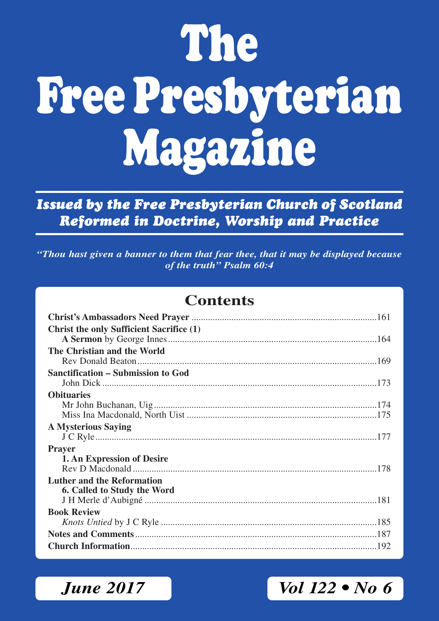# **The Free Presbyterian Magazine**

*Issued by the Free Presbyterian Church of Scotland Reformed in Doctrine, Worship and Practice*

*"Thou hast given a banner to them that fear thee, that it may be displayed because of the truth" Psalm 60:4*

### **Contents**

| <b>Christ the only Sufficient Sacrifice (1)</b>           |
|-----------------------------------------------------------|
| The Christian and the World                               |
| Sanctification – Submission to God                        |
| <b>Obituaries</b>                                         |
| <b>A Mysterious Saying</b>                                |
| <b>Prayer</b><br>1. An Expression of Desire               |
| Luther and the Reformation<br>6. Called to Study the Word |
| <b>Book Review</b>                                        |
|                                                           |
|                                                           |



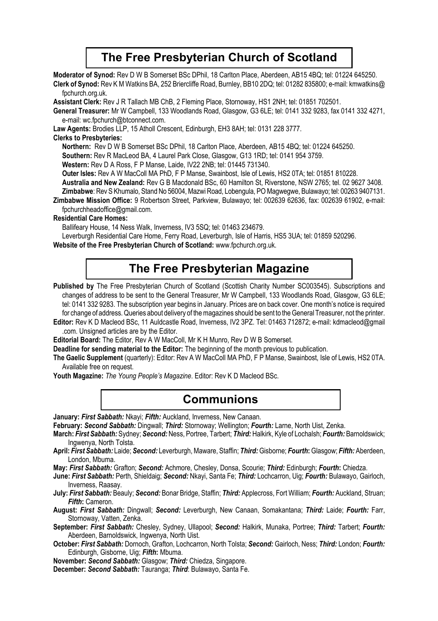### **The Free Presbyterian Church of Scotland**

**Moderator of Synod:** Rev D W B Somerset BSc DPhil, 18 Carlton Place, Aberdeen, AB15 4BQ; tel: 01224 645250.

**Clerk of Synod:** Rev K M Watkins BA, 252 Briercliffe Road, Burnley, BB10 2DQ; tel: 01282 835800; e-mail: kmwatkins@ fpchurch.org.uk.

**Assistant Clerk:** Rev J R Tallach MB ChB, 2 Fleming Place, Stornoway, HS1 2NH; tel: 01851 702501.

**General Treasurer:** Mr W Campbell, 133 Woodlands Road, Glasgow, G3 6LE; tel: 0141 332 9283, fax 0141 332 4271, e-mail: wc.fpchurch@btconnect.com.

**Law Agents:** Brodies LLP, 15 Atholl Crescent, Edinburgh, EH3 8AH; tel: 0131 228 3777.

#### **Clerks to Presbyteries:**

**Northern:** Rev D W B Somerset BSc DPhil, 18 Carlton Place, Aberdeen, AB15 4BQ; tel: 01224 645250.

**Southern:** Rev R MacLeod BA, 4 Laurel Park Close, Glasgow, G13 1RD; tel: 0141 954 3759.

**Western:** Rev D A Ross, F P Manse, Laide, IV22 2NB; tel: 01445 731340.

**Outer lsles:** Rev A W MacColl MA PhD, F P Manse, Swainbost, Isle of Lewis, HS2 0TA; tel: 01851 810228.

**Australia and New Zealand:** Rev G B Macdonald BSc, 60 Hamilton St, Riverstone, NSW 2765; tel. 02 9627 3408.

**Zimbabwe**: Rev S Khumalo, Stand No 56004, Mazwi Road, Lobengula, PO Magwegwe, Bulawayo; tel: 00263 9407131. **Zimbabwe Mission Office:** 9 Robertson Street, Parkview, Bulawayo; tel: 002639 62636, fax: 002639 61902, e-mail:

fpchurchheadoffice@gmail.com.

### **Residential Care Homes:**

Ballifeary House, 14 Ness Walk, Inverness, IV3 5SQ; tel: 01463 234679.

Leverburgh Residential Care Home, Ferry Road, Leverburgh, Isle of Harris, HS5 3UA; tel: 01859 520296.

**Website of the Free Presbyterian Church of Scotland:** www.fpchurch.org.uk.

### **The Free Presbyterian Magazine**

Published by The Free Presbyterian Church of Scotland (Scottish Charity Number SC003545). Subscriptions and changes of address to be sent to the General Treasurer, Mr W Campbell, 133 Woodlands Road, Glasgow, G3 6LE; tel: 0141 332 9283. The subscription year begins in January. Prices are on back cover. One month's notice is required for change of address. Queries about delivery of the magazines should be sent to the General Treasurer, not the printer.

**Editor:** Rev K D Macleod BSc, 11 Auldcastle Road, Inverness, IV2 3PZ. Tel: 01463 712872; e-mail: kdmacleod@gmail .com. Unsigned articles are by the Editor.

**Editorial Board:** The Editor, Rev A W MacColl, Mr K H Munro, Rev D W B Somerset.

**Deadline for sending material to the Editor:** The beginning of the month previous to publication.

**The Gaelic Supplement** (quarterly): Editor: Rev A W MacColl MA PhD, F P Manse, Swainbost, Isle of Lewis, HS2 0TA. Available free on request.

**Youth Magazine:** *The Young People's Magazine*. Editor: Rev K D Macleod BSc.

### **Communions**

**January:** *First Sabbath:* Nkayi; *Fifth:* Auckland, Inverness, New Canaan.

**February:** *Second Sabbath:* Dingwall; *Third:* Stornoway; Wellington; *Fourth:* Larne, North Uist, Zenka.

- **March:** *First Sabbath:* Sydney; *Second:* Ness, Portree, Tarbert; *Third:* Halkirk, Kyle of Lochalsh; *Fourth:* Barnoldswick; Ingwenya, North Tolsta.
- **April:** *First Sabbath:* Laide; *Second:* Leverburgh, Maware, Staffin; *Third:* Gisborne; *Fourth***:** Glasgow; *Fifth:* Aberdeen, London, Mbuma.

**May:** *First Sabbath:* Grafton; *Second:* Achmore, Chesley, Donsa, Scourie; *Third:* Edinburgh; *Fourth***:** Chiedza.

**June:** *First Sabbath:* Perth, Shieldaig; *Second:* Nkayi, Santa Fe; *Third:* Lochcarron, Uig; *Fourth:* Bulawayo, Gairloch, Inverness, Raasay.

- **July:** *First Sabbath:* Beauly; *Second:* Bonar Bridge, Staffin; *Third:* Applecross, Fort William; *Fourth:* Auckland, Struan; *Fifth***:** Cameron.
- **August:** *First Sabbath:* Dingwall; *Second:* Leverburgh, New Canaan, Somakantana; *Third:* Laide; *Fourth:* Farr, Stornoway, Vatten, Zenka.
- **September:** *First Sabbath:* Chesley, Sydney, Ullapool; *Second:* Halkirk, Munaka, Portree; *Third:* Tarbert; *Fourth:* Aberdeen, Barnoldswick, Ingwenya, North Uist.
- **October:** *First Sabbath:* Dornoch, Grafton, Lochcarron, North Tolsta; *Second:* Gairloch, Ness; *Third:* London; *Fourth:* Edinburgh, Gisborne, Uig; *Fifth***:** Mbuma.

**November:** *Second Sabbath:* Glasgow; *Third:* Chiedza, Singapore.

**December:** *Second Sabbath:* Tauranga; *Third*: Bulawayo, Santa Fe.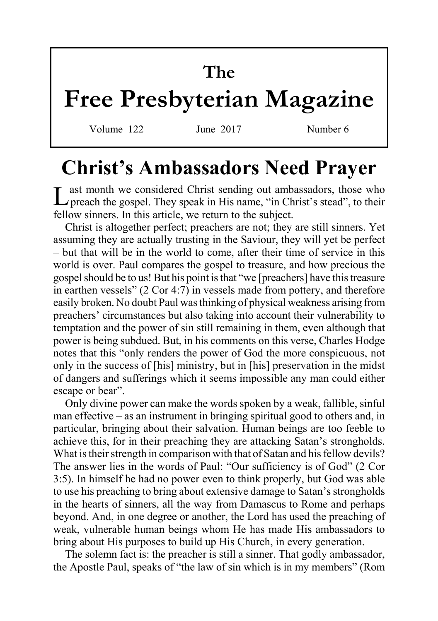# **The Free Presbyterian Magazine**

Volume 122 June 2017 Number 6

# **Christ's Ambassadors Need Prayer**

Last month we considered Christ sending out ambassadors, those who preach the gospel. They speak in His name, "in Christ's stead", to their fellow sinners. In this article, we return to the subject.

Christ is altogether perfect; preachers are not; they are still sinners. Yet assuming they are actually trusting in the Saviour, they will yet be perfect – but that will be in the world to come, after their time of service in this world is over. Paul compares the gospel to treasure, and how precious the gospel should be to us! But his point is that "we [preachers] have this treasure in earthen vessels" (2 Cor 4:7) in vessels made from pottery, and therefore easily broken. No doubt Paul was thinking of physical weakness arising from preachers' circumstances but also taking into account their vulnerability to temptation and the power of sin still remaining in them, even although that power is being subdued. But, in his comments on this verse, Charles Hodge notes that this "only renders the power of God the more conspicuous, not only in the success of [his] ministry, but in [his] preservation in the midst of dangers and sufferings which it seems impossible any man could either escape or bear".

Only divine power can make the words spoken by a weak, fallible, sinful man effective – as an instrument in bringing spiritual good to others and, in particular, bringing about their salvation. Human beings are too feeble to achieve this, for in their preaching they are attacking Satan's strongholds. What is their strength in comparison with that of Satan and his fellow devils? The answer lies in the words of Paul: "Our sufficiency is of God" (2 Cor 3:5). In himself he had no power even to think properly, but God was able to use his preaching to bring about extensive damage to Satan's strongholds in the hearts of sinners, all the way from Damascus to Rome and perhaps beyond. And, in one degree or another, the Lord has used the preaching of weak, vulnerable human beings whom He has made His ambassadors to bring about His purposes to build up His Church, in every generation.

The solemn fact is: the preacher is still a sinner. That godly ambassador, the Apostle Paul, speaks of "the law of sin which is in my members" (Rom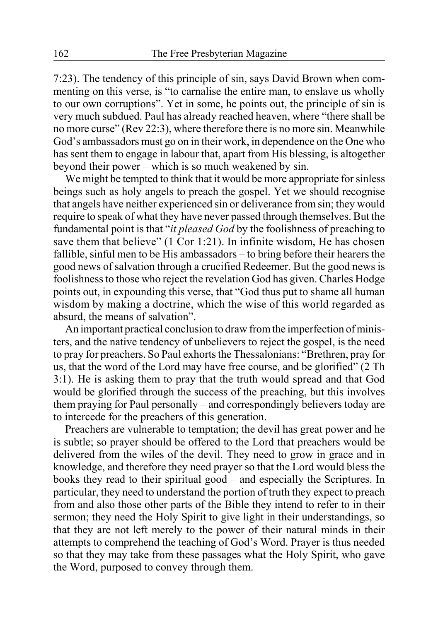7:23). The tendency of this principle of sin, says David Brown when commenting on this verse, is "to carnalise the entire man, to enslave us wholly to our own corruptions". Yet in some, he points out, the principle of sin is very much subdued. Paul has already reached heaven, where "there shall be no more curse" (Rev 22:3), where therefore there is no more sin. Meanwhile God's ambassadors must go on in their work, in dependence on the One who has sent them to engage in labour that, apart from His blessing, is altogether beyond their power – which is so much weakened by sin.

We might be tempted to think that it would be more appropriate for sinless beings such as holy angels to preach the gospel. Yet we should recognise that angels have neither experienced sin or deliverance from sin; they would require to speak of what they have never passed through themselves. But the fundamental point is that "*it pleased God* by the foolishness of preaching to save them that believe" (1 Cor 1:21). In infinite wisdom, He has chosen fallible, sinful men to be His ambassadors – to bring before their hearers the good news of salvation through a crucified Redeemer. But the good news is foolishness to those who reject the revelation God has given. Charles Hodge points out, in expounding this verse, that "God thus put to shame all human wisdom by making a doctrine, which the wise of this world regarded as absurd, the means of salvation".

An important practical conclusion to draw from the imperfection of ministers, and the native tendency of unbelievers to reject the gospel, is the need to pray for preachers. So Paul exhorts the Thessalonians: "Brethren, pray for us, that the word of the Lord may have free course, and be glorified" (2 Th 3:1). He is asking them to pray that the truth would spread and that God would be glorified through the success of the preaching, but this involves them praying for Paul personally – and correspondingly believers today are to intercede for the preachers of this generation.

Preachers are vulnerable to temptation; the devil has great power and he is subtle; so prayer should be offered to the Lord that preachers would be delivered from the wiles of the devil. They need to grow in grace and in knowledge, and therefore they need prayer so that the Lord would bless the books they read to their spiritual good – and especially the Scriptures. In particular, they need to understand the portion of truth they expect to preach from and also those other parts of the Bible they intend to refer to in their sermon; they need the Holy Spirit to give light in their understandings, so that they are not left merely to the power of their natural minds in their attempts to comprehend the teaching of God's Word. Prayer is thus needed so that they may take from these passages what the Holy Spirit, who gave the Word, purposed to convey through them.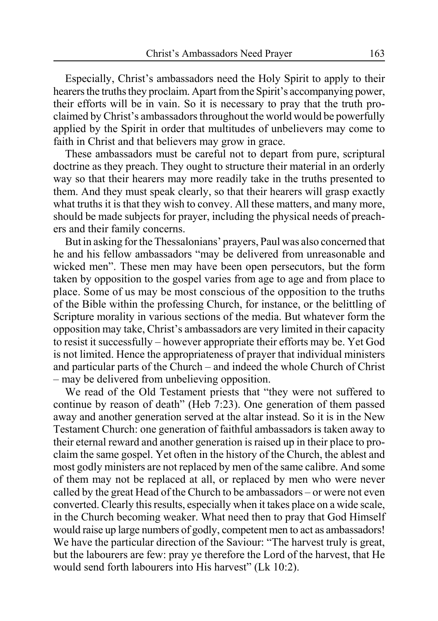Especially, Christ's ambassadors need the Holy Spirit to apply to their hearers the truths they proclaim. Apart from the Spirit's accompanying power, their efforts will be in vain. So it is necessary to pray that the truth proclaimed by Christ's ambassadors throughout the world would be powerfully applied by the Spirit in order that multitudes of unbelievers may come to faith in Christ and that believers may grow in grace.

These ambassadors must be careful not to depart from pure, scriptural doctrine as they preach. They ought to structure their material in an orderly way so that their hearers may more readily take in the truths presented to them. And they must speak clearly, so that their hearers will grasp exactly what truths it is that they wish to convey. All these matters, and many more, should be made subjects for prayer, including the physical needs of preachers and their family concerns.

But in asking for the Thessalonians' prayers, Paul was also concerned that he and his fellow ambassadors "may be delivered from unreasonable and wicked men". These men may have been open persecutors, but the form taken by opposition to the gospel varies from age to age and from place to place. Some of us may be most conscious of the opposition to the truths of the Bible within the professing Church, for instance, or the belittling of Scripture morality in various sections of the media. But whatever form the opposition may take, Christ's ambassadors are very limited in their capacity to resist it successfully – however appropriate their efforts may be. Yet God is not limited. Hence the appropriateness of prayer that individual ministers and particular parts of the Church – and indeed the whole Church of Christ – may be delivered from unbelieving opposition.

We read of the Old Testament priests that "they were not suffered to continue by reason of death" (Heb 7:23). One generation of them passed away and another generation served at the altar instead. So it is in the New Testament Church: one generation of faithful ambassadors is taken away to their eternal reward and another generation is raised up in their place to proclaim the same gospel. Yet often in the history of the Church, the ablest and most godly ministers are not replaced by men of the same calibre. And some of them may not be replaced at all, or replaced by men who were never called by the great Head of the Church to be ambassadors – or were not even converted. Clearly this results, especially when it takes place on a wide scale, in the Church becoming weaker. What need then to pray that God Himself would raise up large numbers of godly, competent men to act as ambassadors! We have the particular direction of the Saviour: "The harvest truly is great, but the labourers are few: pray ye therefore the Lord of the harvest, that He would send forth labourers into His harvest" (Lk 10:2).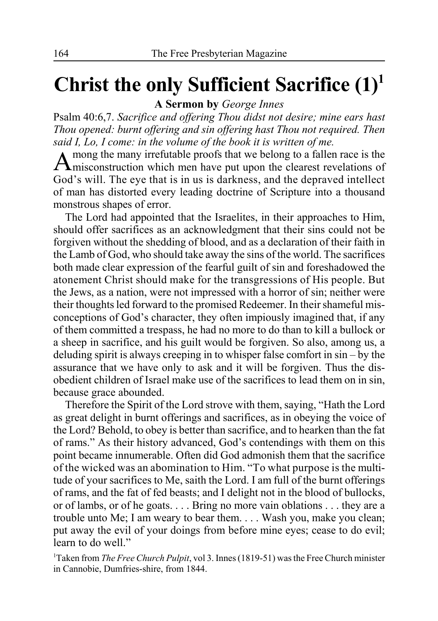# **Christ the only Sufficient Sacrifice (1)1**

**A Sermon by** *George Innes*

Psalm 40:6,7. *Sacrifice and offering Thou didst not desire; mine ears hast Thou opened: burnt offering and sin offering hast Thou not required. Then said I, Lo, I come: in the volume of the book it is written of me.*

A mong the many irrefutable proofs that we belong to a fallen race is the misconstruction which men have put upon the clearest revelations of God's will. The eye that is in us is darkness, and the depraved intellect of man has distorted every leading doctrine of Scripture into a thousand monstrous shapes of error.

The Lord had appointed that the Israelites, in their approaches to Him, should offer sacrifices as an acknowledgment that their sins could not be forgiven without the shedding of blood, and as a declaration of their faith in the Lamb of God, who should take away the sins of the world. The sacrifices both made clear expression of the fearful guilt of sin and foreshadowed the atonement Christ should make for the transgressions of His people. But the Jews, as a nation, were not impressed with a horror of sin; neither were their thoughts led forward to the promised Redeemer. In their shameful misconceptions of God's character, they often impiously imagined that, if any of them committed a trespass, he had no more to do than to kill a bullock or a sheep in sacrifice, and his guilt would be forgiven. So also, among us, a deluding spirit is always creeping in to whisper false comfort in sin – by the assurance that we have only to ask and it will be forgiven. Thus the disobedient children of Israel make use of the sacrifices to lead them on in sin, because grace abounded.

Therefore the Spirit of the Lord strove with them, saying, "Hath the Lord as great delight in burnt offerings and sacrifices, as in obeying the voice of the Lord? Behold, to obey is better than sacrifice, and to hearken than the fat of rams." As their history advanced, God's contendings with them on this point became innumerable. Often did God admonish them that the sacrifice of the wicked was an abomination to Him. "To what purpose is the multitude of your sacrifices to Me, saith the Lord. I am full of the burnt offerings of rams, and the fat of fed beasts; and I delight not in the blood of bullocks, or of lambs, or of he goats. . . . Bring no more vain oblations . . . they are a trouble unto Me; I am weary to bear them. . . . Wash you, make you clean; put away the evil of your doings from before mine eyes; cease to do evil; learn to do well."

<sup>1</sup>Taken from *The Free Church Pulpit*, vol 3. Innes (1819-51) was the Free Church minister in Cannobie, Dumfries-shire, from 1844.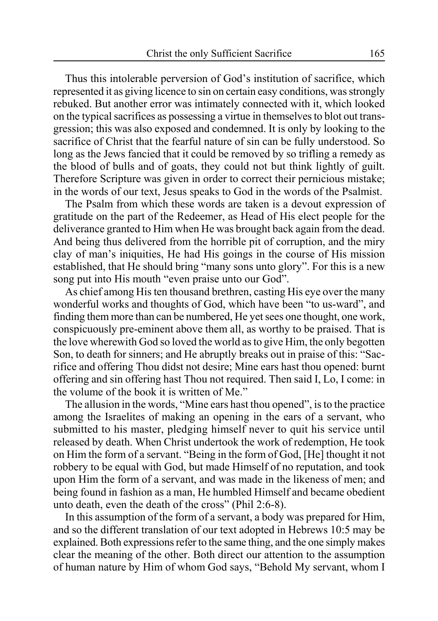Thus this intolerable perversion of God's institution of sacrifice, which represented it as giving licence to sin on certain easy conditions, was strongly rebuked. But another error was intimately connected with it, which looked on the typical sacrifices as possessing a virtue in themselves to blot out transgression; this was also exposed and condemned. It is only by looking to the sacrifice of Christ that the fearful nature of sin can be fully understood. So long as the Jews fancied that it could be removed by so trifling a remedy as the blood of bulls and of goats, they could not but think lightly of guilt. Therefore Scripture was given in order to correct their pernicious mistake; in the words of our text, Jesus speaks to God in the words of the Psalmist.

The Psalm from which these words are taken is a devout expression of gratitude on the part of the Redeemer, as Head of His elect people for the deliverance granted to Him when He was brought back again from the dead. And being thus delivered from the horrible pit of corruption, and the miry clay of man's iniquities, He had His goings in the course of His mission established, that He should bring "many sons unto glory". For this is a new song put into His mouth "even praise unto our God".

As chief among His ten thousand brethren, casting His eye over the many wonderful works and thoughts of God, which have been "to us-ward", and finding them more than can be numbered, He yet sees one thought, one work, conspicuously pre-eminent above them all, as worthy to be praised. That is the love wherewith God so loved the world as to give Him, the only begotten Son, to death for sinners; and He abruptly breaks out in praise of this: "Sacrifice and offering Thou didst not desire; Mine ears hast thou opened: burnt offering and sin offering hast Thou not required. Then said I, Lo, I come: in the volume of the book it is written of Me."

The allusion in the words, "Mine ears hast thou opened", is to the practice among the Israelites of making an opening in the ears of a servant, who submitted to his master, pledging himself never to quit his service until released by death. When Christ undertook the work of redemption, He took on Him the form of a servant. "Being in the form of God, [He] thought it not robbery to be equal with God, but made Himself of no reputation, and took upon Him the form of a servant, and was made in the likeness of men; and being found in fashion as a man, He humbled Himself and became obedient unto death, even the death of the cross" (Phil 2:6-8).

In this assumption of the form of a servant, a body was prepared for Him, and so the different translation of our text adopted in Hebrews 10:5 may be explained. Both expressions refer to the same thing, and the one simply makes clear the meaning of the other. Both direct our attention to the assumption of human nature by Him of whom God says, "Behold My servant, whom I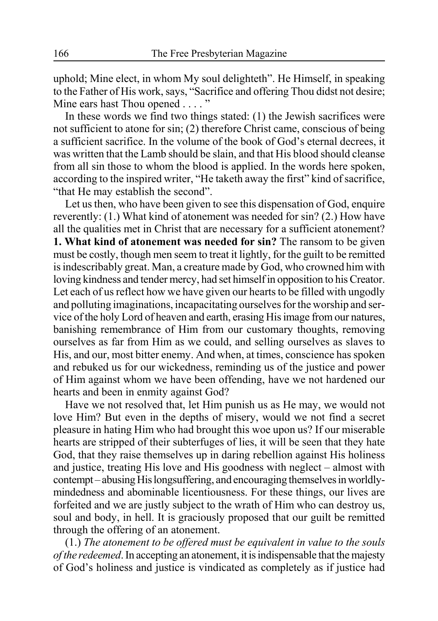uphold; Mine elect, in whom My soul delighteth". He Himself, in speaking to the Father of His work, says, "Sacrifice and offering Thou didst not desire; Mine ears hast Thou opened . . . . "

In these words we find two things stated: (1) the Jewish sacrifices were not sufficient to atone for sin; (2) therefore Christ came, conscious of being a sufficient sacrifice. In the volume of the book of God's eternal decrees, it was written that the Lamb should be slain, and that His blood should cleanse from all sin those to whom the blood is applied. In the words here spoken, according to the inspired writer, "He taketh away the first" kind of sacrifice, "that He may establish the second".

Let us then, who have been given to see this dispensation of God, enquire reverently: (1.) What kind of atonement was needed for sin? (2.) How have all the qualities met in Christ that are necessary for a sufficient atonement? **1. What kind of atonement was needed for sin?** The ransom to be given must be costly, though men seem to treat it lightly, for the guilt to be remitted is indescribably great. Man, a creature made by God, who crowned him with loving kindness and tender mercy, had set himself in opposition to his Creator. Let each of us reflect how we have given our hearts to be filled with ungodly and polluting imaginations, incapacitating ourselves for the worship and service of the holy Lord of heaven and earth, erasing His image from our natures, banishing remembrance of Him from our customary thoughts, removing ourselves as far from Him as we could, and selling ourselves as slaves to His, and our, most bitter enemy. And when, at times, conscience has spoken and rebuked us for our wickedness, reminding us of the justice and power of Him against whom we have been offending, have we not hardened our hearts and been in enmity against God?

Have we not resolved that, let Him punish us as He may, we would not love Him? But even in the depths of misery, would we not find a secret pleasure in hating Him who had brought this woe upon us? If our miserable hearts are stripped of their subterfuges of lies, it will be seen that they hate God, that they raise themselves up in daring rebellion against His holiness and justice, treating His love and His goodness with neglect – almost with contempt – abusing His longsuffering, and encouraging themselves in worldlymindedness and abominable licentiousness. For these things, our lives are forfeited and we are justly subject to the wrath of Him who can destroy us, soul and body, in hell. It is graciously proposed that our guilt be remitted through the offering of an atonement.

(1.) *The atonement to be offered must be equivalent in value to the souls of the redeemed*. In accepting an atonement, it is indispensable that the majesty of God's holiness and justice is vindicated as completely as if justice had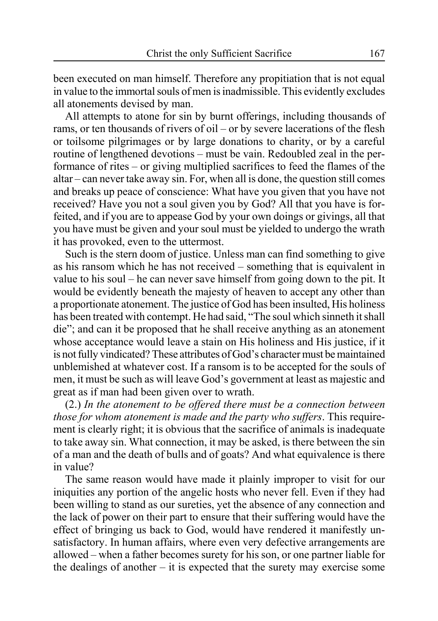been executed on man himself. Therefore any propitiation that is not equal in value to the immortal souls of men is inadmissible. This evidently excludes all atonements devised by man.

All attempts to atone for sin by burnt offerings, including thousands of rams, or ten thousands of rivers of oil – or by severe lacerations of the flesh or toilsome pilgrimages or by large donations to charity, or by a careful routine of lengthened devotions – must be vain. Redoubled zeal in the performance of rites – or giving multiplied sacrifices to feed the flames of the altar – can never take away sin. For, when all is done, the question still comes and breaks up peace of conscience: What have you given that you have not received? Have you not a soul given you by God? All that you have is forfeited, and if you are to appease God by your own doings or givings, all that you have must be given and your soul must be yielded to undergo the wrath it has provoked, even to the uttermost.

Such is the stern doom of justice. Unless man can find something to give as his ransom which he has not received – something that is equivalent in value to his soul – he can never save himself from going down to the pit. It would be evidently beneath the majesty of heaven to accept any other than a proportionate atonement. The justice of God has been insulted, His holiness has been treated with contempt. He had said, "The soul which sinneth it shall die"; and can it be proposed that he shall receive anything as an atonement whose acceptance would leave a stain on His holiness and His justice, if it is not fully vindicated? These attributes of God's character must be maintained unblemished at whatever cost. If a ransom is to be accepted for the souls of men, it must be such as will leave God's government at least as majestic and great as if man had been given over to wrath.

(2.) *In the atonement to be offered there must be a connection between those for whom atonement is made and the party who suffers*. This requirement is clearly right; it is obvious that the sacrifice of animals is inadequate to take away sin. What connection, it may be asked, is there between the sin of a man and the death of bulls and of goats? And what equivalence is there in value?

The same reason would have made it plainly improper to visit for our iniquities any portion of the angelic hosts who never fell. Even if they had been willing to stand as our sureties, yet the absence of any connection and the lack of power on their part to ensure that their suffering would have the effect of bringing us back to God, would have rendered it manifestly unsatisfactory. In human affairs, where even very defective arrangements are allowed – when a father becomes surety for his son, or one partner liable for the dealings of another  $-$  it is expected that the surety may exercise some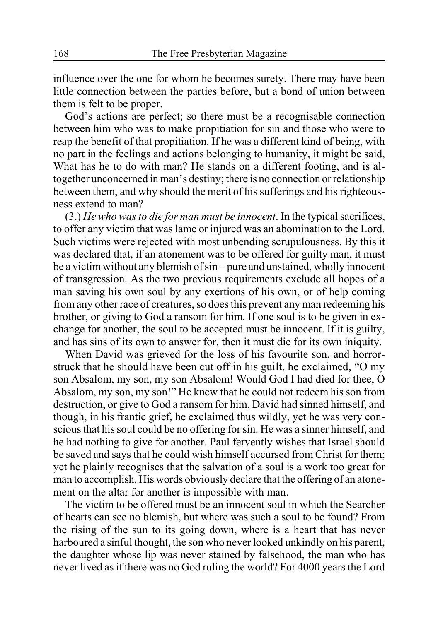influence over the one for whom he becomes surety. There may have been little connection between the parties before, but a bond of union between them is felt to be proper.

God's actions are perfect; so there must be a recognisable connection between him who was to make propitiation for sin and those who were to reap the benefit of that propitiation. If he was a different kind of being, with no part in the feelings and actions belonging to humanity, it might be said, What has he to do with man? He stands on a different footing, and is altogether unconcerned in man's destiny; there is no connection or relationship between them, and why should the merit of his sufferings and his righteousness extend to man?

(3.) *He who was to die for man must be innocent*. In the typical sacrifices, to offer any victim that was lame or injured was an abomination to the Lord. Such victims were rejected with most unbending scrupulousness. By this it was declared that, if an atonement was to be offered for guilty man, it must be a victim without any blemish of sin – pure and unstained, wholly innocent of transgression. As the two previous requirements exclude all hopes of a man saving his own soul by any exertions of his own, or of help coming from any other race of creatures, so does this prevent any man redeeming his brother, or giving to God a ransom for him. If one soul is to be given in exchange for another, the soul to be accepted must be innocent. If it is guilty, and has sins of its own to answer for, then it must die for its own iniquity.

When David was grieved for the loss of his favourite son, and horrorstruck that he should have been cut off in his guilt, he exclaimed, "O my son Absalom, my son, my son Absalom! Would God I had died for thee, O Absalom, my son, my son!" He knew that he could not redeem his son from destruction, or give to God a ransom for him. David had sinned himself, and though, in his frantic grief, he exclaimed thus wildly, yet he was very conscious that his soul could be no offering for sin. He was a sinner himself, and he had nothing to give for another. Paul fervently wishes that Israel should be saved and says that he could wish himself accursed from Christ for them; yet he plainly recognises that the salvation of a soul is a work too great for man to accomplish. His words obviously declare that the offering of an atonement on the altar for another is impossible with man.

The victim to be offered must be an innocent soul in which the Searcher of hearts can see no blemish, but where was such a soul to be found? From the rising of the sun to its going down, where is a heart that has never harboured a sinful thought, the son who never looked unkindly on his parent, the daughter whose lip was never stained by falsehood, the man who has never lived as if there was no God ruling the world? For 4000 years the Lord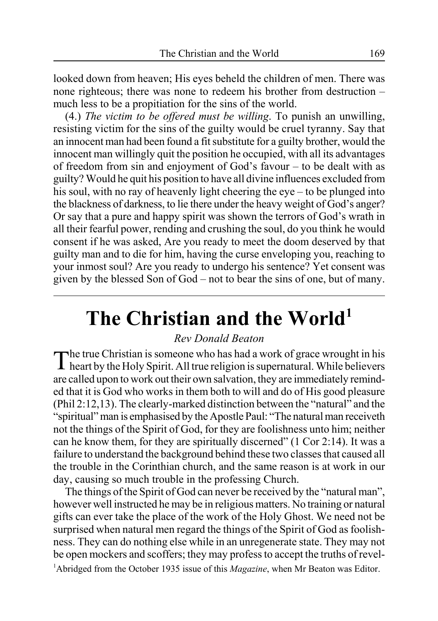looked down from heaven; His eyes beheld the children of men. There was none righteous; there was none to redeem his brother from destruction – much less to be a propitiation for the sins of the world.

(4.) *The victim to be offered must be willing*. To punish an unwilling, resisting victim for the sins of the guilty would be cruel tyranny. Say that an innocent man had been found a fit substitute for a guilty brother, would the innocent man willingly quit the position he occupied, with all its advantages of freedom from sin and enjoyment of God's favour – to be dealt with as guilty? Would he quit his position to have all divine influences excluded from his soul, with no ray of heavenly light cheering the eye – to be plunged into the blackness of darkness, to lie there under the heavy weight of God's anger? Or say that a pure and happy spirit was shown the terrors of God's wrath in all their fearful power, rending and crushing the soul, do you think he would consent if he was asked, Are you ready to meet the doom deserved by that guilty man and to die for him, having the curse enveloping you, reaching to your inmost soul? Are you ready to undergo his sentence? Yet consent was given by the blessed Son of God – not to bear the sins of one, but of many.

# **The Christian and the World1**

### *Rev Donald Beaton*

The true Christian is someone who has had a work of grace wrought in his heart by the Holy Spirit. All true religion is supernatural. While believers are called upon to work out their own salvation, they are immediately reminded that it is God who works in them both to will and do of His good pleasure (Phil 2:12,13). The clearly-marked distinction between the "natural" and the "spiritual" man is emphasised by the Apostle Paul: "The natural man receiveth not the things of the Spirit of God, for they are foolishness unto him; neither can he know them, for they are spiritually discerned" (1 Cor 2:14). It was a failure to understand the background behind these two classes that caused all the trouble in the Corinthian church, and the same reason is at work in our day, causing so much trouble in the professing Church.

The things of the Spirit of God can never be received by the "natural man", however well instructed he may be in religious matters. No training or natural gifts can ever take the place of the work of the Holy Ghost. We need not be surprised when natural men regard the things of the Spirit of God as foolishness. They can do nothing else while in an unregenerate state. They may not be open mockers and scoffers; they may profess to accept the truths of revel- <sup>1</sup>Abridged from the October 1935 issue of this *Magazine*, when Mr Beaton was Editor.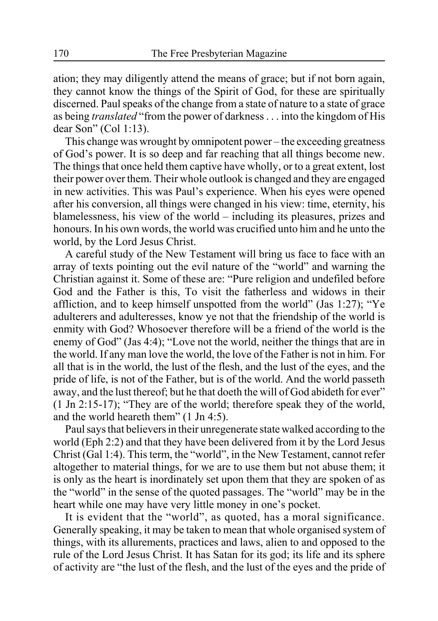ation; they may diligently attend the means of grace; but if not born again, they cannot know the things of the Spirit of God, for these are spiritually discerned. Paul speaks of the change from a state of nature to a state of grace as being *translated* "from the power of darkness . . . into the kingdom of His dear Son" (Col 1:13).

This change was wrought by omnipotent power – the exceeding greatness of God's power. It is so deep and far reaching that all things become new. The things that once held them captive have wholly, or to a great extent, lost their power over them. Their whole outlook is changed and they are engaged in new activities. This was Paul's experience. When his eyes were opened after his conversion, all things were changed in his view: time, eternity, his blamelessness, his view of the world – including its pleasures, prizes and honours. In his own words, the world was crucified unto him and he unto the world, by the Lord Jesus Christ.

A careful study of the New Testament will bring us face to face with an array of texts pointing out the evil nature of the "world" and warning the Christian against it. Some of these are: "Pure religion and undefiled before God and the Father is this, To visit the fatherless and widows in their affliction, and to keep himself unspotted from the world" (Jas 1:27); "Ye adulterers and adulteresses, know ye not that the friendship of the world is enmity with God? Whosoever therefore will be a friend of the world is the enemy of God" (Jas 4:4); "Love not the world, neither the things that are in the world. If any man love the world, the love of the Father is not in him. For all that is in the world, the lust of the flesh, and the lust of the eyes, and the pride of life, is not of the Father, but is of the world. And the world passeth away, and the lust thereof; but he that doeth the will of God abideth for ever" (1 Jn 2:15-17); "They are of the world; therefore speak they of the world, and the world heareth them" (1 Jn 4:5).

Paul says that believers in their unregenerate state walked according to the world (Eph 2:2) and that they have been delivered from it by the Lord Jesus Christ (Gal 1:4). This term, the "world", in the New Testament, cannot refer altogether to material things, for we are to use them but not abuse them; it is only as the heart is inordinately set upon them that they are spoken of as the "world" in the sense of the quoted passages. The "world" may be in the heart while one may have very little money in one's pocket.

It is evident that the "world", as quoted, has a moral significance. Generally speaking, it may be taken to mean that whole organised system of things, with its allurements, practices and laws, alien to and opposed to the rule of the Lord Jesus Christ. It has Satan for its god; its life and its sphere of activity are "the lust of the flesh, and the lust of the eyes and the pride of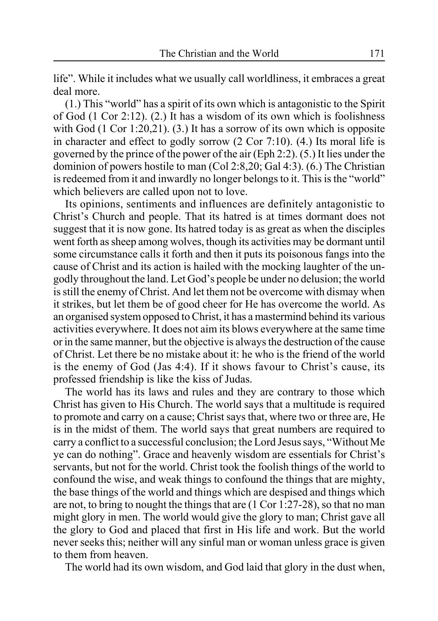life". While it includes what we usually call worldliness, it embraces a great deal more.

(1.) This "world" has a spirit of its own which is antagonistic to the Spirit of God (1 Cor 2:12). (2.) It has a wisdom of its own which is foolishness with God (1 Cor 1:20,21). (3.) It has a sorrow of its own which is opposite in character and effect to godly sorrow (2 Cor 7:10). (4.) Its moral life is governed by the prince of the power of the air (Eph 2:2). (5.) It lies under the dominion of powers hostile to man (Col 2:8,20; Gal 4:3). (6.) The Christian is redeemed from it and inwardly no longer belongs to it. This is the "world" which believers are called upon not to love.

Its opinions, sentiments and influences are definitely antagonistic to Christ's Church and people. That its hatred is at times dormant does not suggest that it is now gone. Its hatred today is as great as when the disciples went forth as sheep among wolves, though its activities may be dormant until some circumstance calls it forth and then it puts its poisonous fangs into the cause of Christ and its action is hailed with the mocking laughter of the ungodly throughout the land. Let God's people be under no delusion; the world is still the enemy of Christ. And let them not be overcome with dismay when it strikes, but let them be of good cheer for He has overcome the world. As an organised system opposed to Christ, it has a mastermind behind its various activities everywhere. It does not aim its blows everywhere at the same time or in the same manner, but the objective is always the destruction of the cause of Christ. Let there be no mistake about it: he who is the friend of the world is the enemy of God (Jas 4:4). If it shows favour to Christ's cause, its professed friendship is like the kiss of Judas.

The world has its laws and rules and they are contrary to those which Christ has given to His Church. The world says that a multitude is required to promote and carry on a cause; Christ says that, where two or three are, He is in the midst of them. The world says that great numbers are required to carry a conflict to a successful conclusion; the Lord Jesus says, "Without Me ye can do nothing". Grace and heavenly wisdom are essentials for Christ's servants, but not for the world. Christ took the foolish things of the world to confound the wise, and weak things to confound the things that are mighty, the base things of the world and things which are despised and things which are not, to bring to nought the things that are (1 Cor 1:27-28), so that no man might glory in men. The world would give the glory to man; Christ gave all the glory to God and placed that first in His life and work. But the world never seeks this; neither will any sinful man or woman unless grace is given to them from heaven.

The world had its own wisdom, and God laid that glory in the dust when,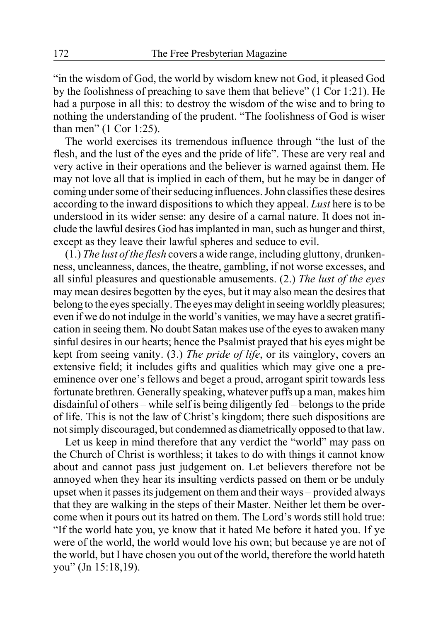"in the wisdom of God, the world by wisdom knew not God, it pleased God by the foolishness of preaching to save them that believe" (1 Cor 1:21). He had a purpose in all this: to destroy the wisdom of the wise and to bring to nothing the understanding of the prudent. "The foolishness of God is wiser than men" (1 Cor 1:25).

The world exercises its tremendous influence through "the lust of the flesh, and the lust of the eyes and the pride of life". These are very real and very active in their operations and the believer is warned against them. He may not love all that is implied in each of them, but he may be in danger of coming under some of their seducing influences. John classifies these desires according to the inward dispositions to which they appeal. *Lust* here is to be understood in its wider sense: any desire of a carnal nature. It does not include the lawful desires God has implanted in man, such as hunger and thirst, except as they leave their lawful spheres and seduce to evil.

(1.) *The lust of the flesh* covers a wide range, including gluttony, drunkenness, uncleanness, dances, the theatre, gambling, if not worse excesses, and all sinful pleasures and questionable amusements. (2.) *The lust of the eyes* may mean desires begotten by the eyes, but it may also mean the desires that belong to the eyes specially. The eyes may delight in seeing worldly pleasures; even if we do not indulge in the world's vanities, we may have a secret gratification in seeing them. No doubt Satan makes use of the eyes to awaken many sinful desires in our hearts; hence the Psalmist prayed that his eyes might be kept from seeing vanity. (3.) *The pride of life*, or its vainglory, covers an extensive field; it includes gifts and qualities which may give one a preeminence over one's fellows and beget a proud, arrogant spirit towards less fortunate brethren. Generally speaking, whatever puffs up a man, makes him disdainful of others – while self is being diligently fed – belongs to the pride of life. This is not the law of Christ's kingdom; there such dispositions are not simply discouraged, but condemned as diametrically opposed to that law.

Let us keep in mind therefore that any verdict the "world" may pass on the Church of Christ is worthless; it takes to do with things it cannot know about and cannot pass just judgement on. Let believers therefore not be annoyed when they hear its insulting verdicts passed on them or be unduly upset when it passes its judgement on them and their ways – provided always that they are walking in the steps of their Master. Neither let them be overcome when it pours out its hatred on them. The Lord's words still hold true: "If the world hate you, ye know that it hated Me before it hated you. If ye were of the world, the world would love his own; but because ye are not of the world, but I have chosen you out of the world, therefore the world hateth you" (Jn 15:18,19).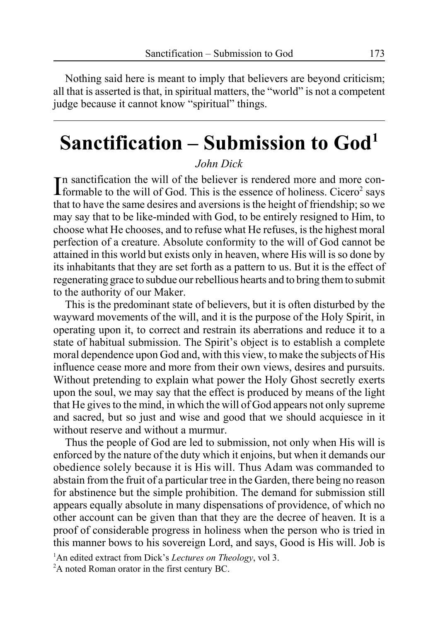Nothing said here is meant to imply that believers are beyond criticism; all that is asserted is that, in spiritual matters, the "world" is not a competent judge because it cannot know "spiritual" things.

# **Sanctification – Submission to God1**

### *John Dick*

In sanctification the will of the believer is rendered more and more con-<br>If formable to the will of God. This is the essence of holiness. Cicero<sup>2</sup> says formable to the will of God. This is the essence of holiness. Cicero<sup>2</sup> says that to have the same desires and aversions is the height of friendship; so we may say that to be like-minded with God, to be entirely resigned to Him, to choose what He chooses, and to refuse what He refuses, is the highest moral perfection of a creature. Absolute conformity to the will of God cannot be attained in this world but exists only in heaven, where His will is so done by its inhabitants that they are set forth as a pattern to us. But it is the effect of regenerating grace to subdue our rebellious hearts and to bring them to submit to the authority of our Maker.

This is the predominant state of believers, but it is often disturbed by the wayward movements of the will, and it is the purpose of the Holy Spirit, in operating upon it, to correct and restrain its aberrations and reduce it to a state of habitual submission. The Spirit's object is to establish a complete moral dependence upon God and, with this view, to make the subjects of His influence cease more and more from their own views, desires and pursuits. Without pretending to explain what power the Holy Ghost secretly exerts upon the soul, we may say that the effect is produced by means of the light that He gives to the mind, in which the will of God appears not only supreme and sacred, but so just and wise and good that we should acquiesce in it without reserve and without a murmur.

Thus the people of God are led to submission, not only when His will is enforced by the nature of the duty which it enjoins, but when it demands our obedience solely because it is His will. Thus Adam was commanded to abstain from the fruit of a particular tree in the Garden, there being no reason for abstinence but the simple prohibition. The demand for submission still appears equally absolute in many dispensations of providence, of which no other account can be given than that they are the decree of heaven. It is a proof of considerable progress in holiness when the person who is tried in this manner bows to his sovereign Lord, and says, Good is His will. Job is

<sup>1</sup>An edited extract from Dick's *Lectures on Theology*, vol 3.

<sup>2</sup>A noted Roman orator in the first century BC.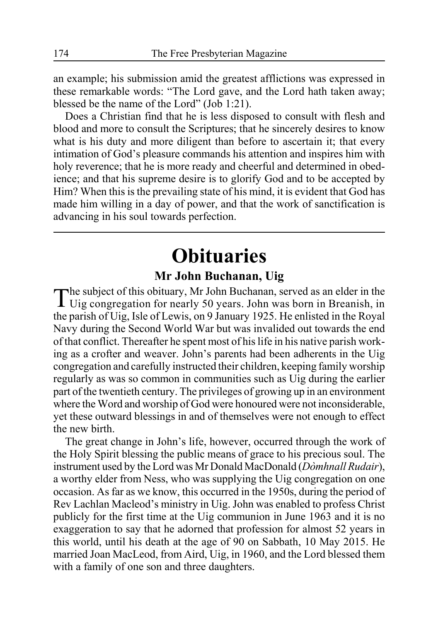an example; his submission amid the greatest afflictions was expressed in these remarkable words: "The Lord gave, and the Lord hath taken away; blessed be the name of the Lord" (Job 1:21).

Does a Christian find that he is less disposed to consult with flesh and blood and more to consult the Scriptures; that he sincerely desires to know what is his duty and more diligent than before to ascertain it; that every intimation of God's pleasure commands his attention and inspires him with holy reverence; that he is more ready and cheerful and determined in obedience; and that his supreme desire is to glorify God and to be accepted by Him? When this is the prevailing state of his mind, it is evident that God has made him willing in a day of power, and that the work of sanctification is advancing in his soul towards perfection.

## **Obituaries Mr John Buchanan, Uig**

The subject of this obituary, Mr John Buchanan, served as an elder in the Uig congregation for nearly 50 years. John was born in Breanish, in the parish of Uig, Isle of Lewis, on 9 January 1925. He enlisted in the Royal Navy during the Second World War but was invalided out towards the end of that conflict. Thereafter he spent most of his life in his native parish working as a crofter and weaver. John's parents had been adherents in the Uig congregation and carefully instructed their children, keeping family worship regularly as was so common in communities such as Uig during the earlier part of the twentieth century. The privileges of growing up in an environment where the Word and worship of God were honoured were not inconsiderable, yet these outward blessings in and of themselves were not enough to effect the new birth.

The great change in John's life, however, occurred through the work of the Holy Spirit blessing the public means of grace to his precious soul. The instrument used by the Lord was Mr Donald MacDonald (*Dòmhnall Rudair*), a worthy elder from Ness, who was supplying the Uig congregation on one occasion. As far as we know, this occurred in the 1950s, during the period of Rev Lachlan Macleod's ministry in Uig. John was enabled to profess Christ publicly for the first time at the Uig communion in June 1963 and it is no exaggeration to say that he adorned that profession for almost 52 years in this world, until his death at the age of 90 on Sabbath, 10 May 2015. He married Joan MacLeod, from Aird, Uig, in 1960, and the Lord blessed them with a family of one son and three daughters.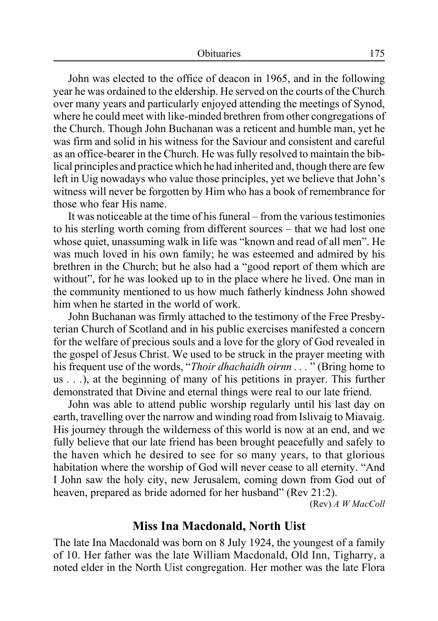John was elected to the office of deacon in 1965, and in the following year he was ordained to the eldership. He served on the courts of the Church over many years and particularly enjoyed attending the meetings of Synod, where he could meet with like-minded brethren from other congregations of the Church. Though John Buchanan was a reticent and humble man, yet he was firm and solid in his witness for the Saviour and consistent and careful as an office-bearer in the Church. He was fully resolved to maintain the biblical principles and practice which he had inherited and, though there are few left in Uig nowadays who value those principles, yet we believe that John's witness will never be forgotten by Him who has a book of remembrance for those who fear His name.

It was noticeable at the time of his funeral – from the various testimonies to his sterling worth coming from different sources – that we had lost one whose quiet, unassuming walk in life was "known and read of all men". He was much loved in his own family; he was esteemed and admired by his brethren in the Church; but he also had a "good report of them which are without", for he was looked up to in the place where he lived. One man in the community mentioned to us how much fatherly kindness John showed him when he started in the world of work.

John Buchanan was firmly attached to the testimony of the Free Presbyterian Church of Scotland and in his public exercises manifested a concern for the welfare of precious souls and a love for the glory of God revealed in the gospel of Jesus Christ. We used to be struck in the prayer meeting with his frequent use of the words, "*Thoir dhachaidh oirnn . . .* " (Bring home to us *. . .*), at the beginning of many of his petitions in prayer. This further demonstrated that Divine and eternal things were real to our late friend.

John was able to attend public worship regularly until his last day on earth, travelling over the narrow and winding road from Islivaig to Miavaig. His journey through the wilderness of this world is now at an end, and we fully believe that our late friend has been brought peacefully and safely to the haven which he desired to see for so many years, to that glorious habitation where the worship of God will never cease to all eternity. "And I John saw the holy city, new Jerusalem, coming down from God out of heaven, prepared as bride adorned for her husband" (Rev 21:2).

(Rev) *A W MacColl*

### **Miss Ina Macdonald, North Uist**

The late Ina Macdonald was born on 8 July 1924, the youngest of a family of 10. Her father was the late William Macdonald, Old Inn, Tigharry, a noted elder in the North Uist congregation. Her mother was the late Flora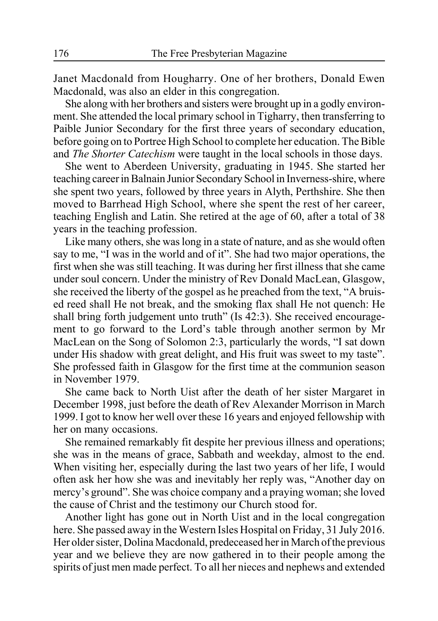Janet Macdonald from Hougharry. One of her brothers, Donald Ewen Macdonald, was also an elder in this congregation.

She along with her brothers and sisters were brought up in a godly environment. She attended the local primary school in Tigharry, then transferring to Paible Junior Secondary for the first three years of secondary education, before going on to Portree High School to complete her education. The Bible and *The Shorter Catechism* were taught in the local schools in those days.

She went to Aberdeen University, graduating in 1945. She started her teaching career in Balnain Junior Secondary School in Inverness-shire, where she spent two years, followed by three years in Alyth, Perthshire. She then moved to Barrhead High School, where she spent the rest of her career, teaching English and Latin. She retired at the age of 60, after a total of 38 years in the teaching profession.

Like many others, she was long in a state of nature, and as she would often say to me, "I was in the world and of it". She had two major operations, the first when she was still teaching. It was during her first illness that she came under soul concern. Under the ministry of Rev Donald MacLean, Glasgow, she received the liberty of the gospel as he preached from the text, "A bruised reed shall He not break, and the smoking flax shall He not quench: He shall bring forth judgement unto truth" (Is 42:3). She received encouragement to go forward to the Lord's table through another sermon by Mr MacLean on the Song of Solomon 2:3, particularly the words, "I sat down under His shadow with great delight, and His fruit was sweet to my taste". She professed faith in Glasgow for the first time at the communion season in November 1979.

She came back to North Uist after the death of her sister Margaret in December 1998, just before the death of Rev Alexander Morrison in March 1999. I got to know her well over these 16 years and enjoyed fellowship with her on many occasions.

She remained remarkably fit despite her previous illness and operations; she was in the means of grace, Sabbath and weekday, almost to the end. When visiting her, especially during the last two years of her life, I would often ask her how she was and inevitably her reply was, "Another day on mercy's ground". She was choice company and a praying woman; she loved the cause of Christ and the testimony our Church stood for.

Another light has gone out in North Uist and in the local congregation here. She passed away in the Western Isles Hospital on Friday, 31 July 2016. Her older sister, Dolina Macdonald, predeceased her in March of the previous year and we believe they are now gathered in to their people among the spirits of just men made perfect. To all her nieces and nephews and extended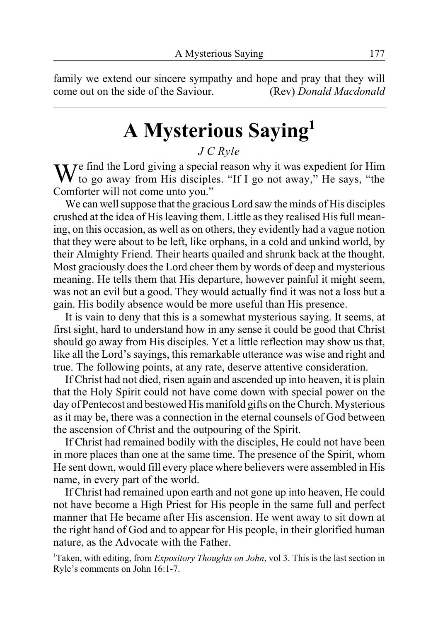family we extend our sincere sympathy and hope and pray that they will come out on the side of the Saviour. (Rev) *Donald Macdonald*

# **A Mysterious Saying1**

### *J C Ryle*

 $W_{\text{to, so a way from Fig. 1}}^{\text{e find the Lord giving a special reason why it was expedient for Him}$ **V** to go away from His disciples. "If I go not away," He says, "the Comforter will not come unto you."

We can well suppose that the gracious Lord saw the minds of His disciples crushed at the idea of His leaving them. Little as they realised His full meaning, on this occasion, as well as on others, they evidently had a vague notion that they were about to be left, like orphans, in a cold and unkind world, by their Almighty Friend. Their hearts quailed and shrunk back at the thought. Most graciously does the Lord cheer them by words of deep and mysterious meaning. He tells them that His departure, however painful it might seem, was not an evil but a good. They would actually find it was not a loss but a gain. His bodily absence would be more useful than His presence.

It is vain to deny that this is a somewhat mysterious saying. It seems, at first sight, hard to understand how in any sense it could be good that Christ should go away from His disciples. Yet a little reflection may show us that, like all the Lord's sayings, this remarkable utterance was wise and right and true. The following points, at any rate, deserve attentive consideration.

If Christ had not died, risen again and ascended up into heaven, it is plain that the Holy Spirit could not have come down with special power on the day of Pentecost and bestowed His manifold gifts on the Church. Mysterious as it may be, there was a connection in the eternal counsels of God between the ascension of Christ and the outpouring of the Spirit.

If Christ had remained bodily with the disciples, He could not have been in more places than one at the same time. The presence of the Spirit, whom He sent down, would fill every place where believers were assembled in His name, in every part of the world.

If Christ had remained upon earth and not gone up into heaven, He could not have become a High Priest for His people in the same full and perfect manner that He became after His ascension. He went away to sit down at the right hand of God and to appear for His people, in their glorified human nature, as the Advocate with the Father.

<sup>1</sup>Taken, with editing, from *Expository Thoughts on John*, vol 3. This is the last section in Ryle's comments on John 16:1-7.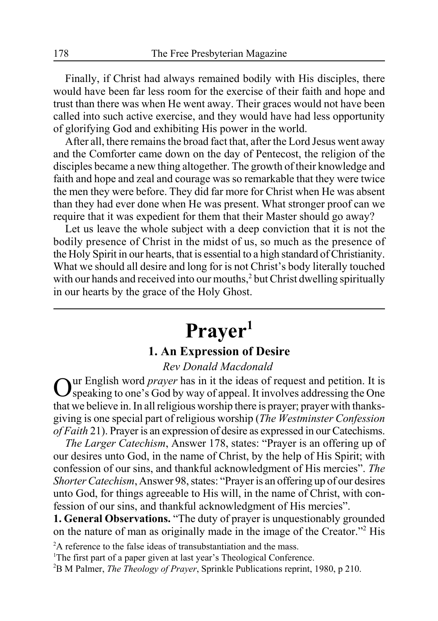Finally, if Christ had always remained bodily with His disciples, there would have been far less room for the exercise of their faith and hope and trust than there was when He went away. Their graces would not have been called into such active exercise, and they would have had less opportunity of glorifying God and exhibiting His power in the world.

After all, there remains the broad fact that, after the Lord Jesus went away and the Comforter came down on the day of Pentecost, the religion of the disciples became a new thing altogether. The growth of their knowledge and faith and hope and zeal and courage was so remarkable that they were twice the men they were before. They did far more for Christ when He was absent than they had ever done when He was present. What stronger proof can we require that it was expedient for them that their Master should go away?

Let us leave the whole subject with a deep conviction that it is not the bodily presence of Christ in the midst of us, so much as the presence of the Holy Spirit in our hearts, that is essential to a high standard of Christianity. What we should all desire and long for is not Christ's body literally touched with our hands and received into our mouths,<sup>2</sup> but Christ dwelling spiritually in our hearts by the grace of the Holy Ghost.

# **Prayer1**

### **1. An Expression of Desire**

### *Rev Donald Macdonald*

Our English word *prayer* has in it the ideas of request and petition. It is speaking to one's God by way of appeal. It involves addressing the One that we believe in. In all religious worship there is prayer; prayer with thanksgiving is one special part of religious worship (*The Westminster Confession of Faith* 21). Prayer is an expression of desire as expressed in our Catechisms.

*The Larger Catechism*, Answer 178, states: "Prayer is an offering up of our desires unto God, in the name of Christ, by the help of His Spirit; with confession of our sins, and thankful acknowledgment of His mercies". *The Shorter Catechism*, Answer 98, states: "Prayer is an offering up of our desires unto God, for things agreeable to His will, in the name of Christ, with confession of our sins, and thankful acknowledgment of His mercies".

**1. General Observations.** "The duty of prayer is unquestionably grounded on the nature of man as originally made in the image of the Creator."<sup>2</sup> His

 ${}^{2}$ A reference to the false ideas of transubstantiation and the mass.

<sup>1</sup>The first part of a paper given at last year's Theological Conference.

2 B M Palmer, *The Theology of Prayer*, Sprinkle Publications reprint, 1980, p 210.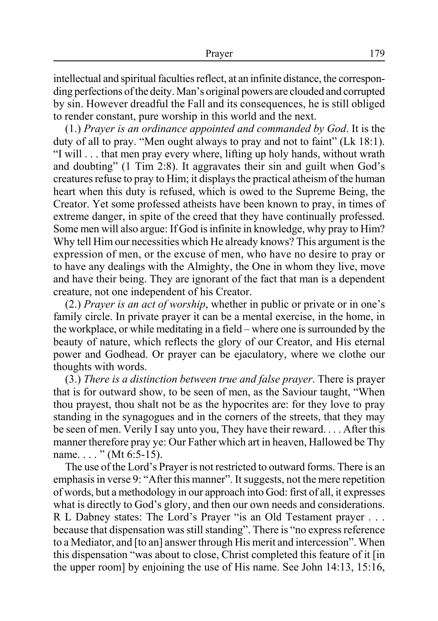intellectual and spiritual faculties reflect, at an infinite distance, the corresponding perfections of the deity. Man's original powers are clouded and corrupted by sin. However dreadful the Fall and its consequences, he is still obliged to render constant, pure worship in this world and the next.

(1.) *Prayer is an ordinance appointed and commanded by God*. It is the duty of all to pray. "Men ought always to pray and not to faint" (Lk 18:1). "I will . . . that men pray every where, lifting up holy hands, without wrath and doubting" (1 Tim 2:8). It aggravates their sin and guilt when God's creatures refuse to pray to Him; it displays the practical atheism of the human heart when this duty is refused, which is owed to the Supreme Being, the Creator. Yet some professed atheists have been known to pray, in times of extreme danger, in spite of the creed that they have continually professed. Some men will also argue: If God is infinite in knowledge, why pray to Him? Why tell Him our necessities which He already knows? This argument is the expression of men, or the excuse of men, who have no desire to pray or to have any dealings with the Almighty, the One in whom they live, move and have their being. They are ignorant of the fact that man is a dependent creature, not one independent of his Creator.

(2.) *Prayer is an act of worship*, whether in public or private or in one's family circle. In private prayer it can be a mental exercise, in the home, in the workplace, or while meditating in a field – where one is surrounded by the beauty of nature, which reflects the glory of our Creator, and His eternal power and Godhead. Or prayer can be ejaculatory, where we clothe our thoughts with words.

(3.) *There is a distinction between true and false prayer*. There is prayer that is for outward show, to be seen of men, as the Saviour taught, "When thou prayest, thou shalt not be as the hypocrites are: for they love to pray standing in the synagogues and in the corners of the streets, that they may be seen of men. Verily I say unto you, They have their reward. . . . After this manner therefore pray ye: Our Father which art in heaven, Hallowed be Thy name...." (Mt 6:5-15).

The use of the Lord's Prayer is not restricted to outward forms. There is an emphasis in verse 9: "After this manner". It suggests, not the mere repetition of words, but a methodology in our approach into God: first of all, it expresses what is directly to God's glory, and then our own needs and considerations. R L Dabney states: The Lord's Prayer "is an Old Testament prayer . . . because that dispensation was still standing". There is "no express reference to a Mediator, and [to an] answer through His merit and intercession". When this dispensation "was about to close, Christ completed this feature of it [in the upper room] by enjoining the use of His name. See John 14:13, 15:16,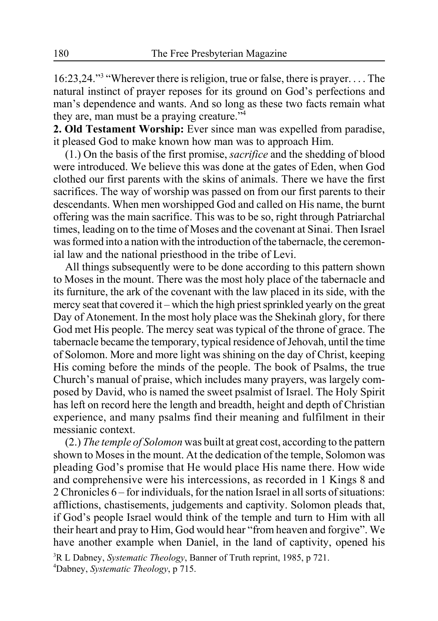16:23,24."<sup>3</sup> "Wherever there is religion, true or false, there is prayer.... The natural instinct of prayer reposes for its ground on God's perfections and man's dependence and wants. And so long as these two facts remain what they are, man must be a praying creature."4

**2. Old Testament Worship:** Ever since man was expelled from paradise, it pleased God to make known how man was to approach Him.

(1.) On the basis of the first promise, *sacrifice* and the shedding of blood were introduced. We believe this was done at the gates of Eden, when God clothed our first parents with the skins of animals. There we have the first sacrifices. The way of worship was passed on from our first parents to their descendants. When men worshipped God and called on His name, the burnt offering was the main sacrifice. This was to be so, right through Patriarchal times, leading on to the time of Moses and the covenant at Sinai. Then Israel was formed into a nation with the introduction of the tabernacle, the ceremonial law and the national priesthood in the tribe of Levi.

All things subsequently were to be done according to this pattern shown to Moses in the mount. There was the most holy place of the tabernacle and its furniture, the ark of the covenant with the law placed in its side, with the mercy seat that covered it – which the high priest sprinkled yearly on the great Day of Atonement. In the most holy place was the Shekinah glory, for there God met His people. The mercy seat was typical of the throne of grace. The tabernacle became the temporary, typical residence of Jehovah, until the time of Solomon. More and more light was shining on the day of Christ, keeping His coming before the minds of the people. The book of Psalms, the true Church's manual of praise, which includes many prayers, was largely composed by David, who is named the sweet psalmist of Israel. The Holy Spirit has left on record here the length and breadth, height and depth of Christian experience, and many psalms find their meaning and fulfilment in their messianic context.

(2.) *The temple of Solomon* was built at great cost, according to the pattern shown to Moses in the mount. At the dedication of the temple, Solomon was pleading God's promise that He would place His name there. How wide and comprehensive were his intercessions, as recorded in 1 Kings 8 and 2 Chronicles 6 – for individuals, for the nation Israel in all sorts of situations: afflictions, chastisements, judgements and captivity. Solomon pleads that, if God's people Israel would think of the temple and turn to Him with all their heart and pray to Him, God would hear "from heaven and forgive". We have another example when Daniel, in the land of captivity, opened his

3 R L Dabney, *Systematic Theology*, Banner of Truth reprint, 1985, p 721. 4 Dabney, *Systematic Theology*, p 715.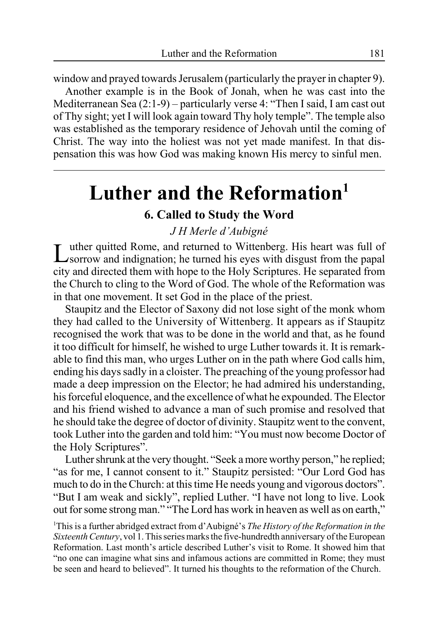window and prayed towards Jerusalem (particularly the prayer in chapter 9).

Another example is in the Book of Jonah, when he was cast into the Mediterranean Sea (2:1-9) – particularly verse 4: "Then I said, I am cast out of Thy sight; yet I will look again toward Thy holy temple". The temple also was established as the temporary residence of Jehovah until the coming of Christ. The way into the holiest was not yet made manifest. In that dispensation this was how God was making known His mercy to sinful men.

# Luther and the Reformation<sup>1</sup>

### **6. Called to Study the Word**

### *J H Merle d'Aubigné*

Luther quitted Rome, and returned to Wittenberg. His heart was full of Sorrow and indignation; he turned his eyes with disgust from the papal city and directed them with hope to the Holy Scriptures. He separated from the Church to cling to the Word of God. The whole of the Reformation was in that one movement. It set God in the place of the priest.

Staupitz and the Elector of Saxony did not lose sight of the monk whom they had called to the University of Wittenberg. It appears as if Staupitz recognised the work that was to be done in the world and that, as he found it too difficult for himself, he wished to urge Luther towards it. It is remarkable to find this man, who urges Luther on in the path where God calls him, ending his days sadly in a cloister. The preaching of the young professor had made a deep impression on the Elector; he had admired his understanding, his forceful eloquence, and the excellence of what he expounded. The Elector and his friend wished to advance a man of such promise and resolved that he should take the degree of doctor of divinity. Staupitz went to the convent, took Luther into the garden and told him: "You must now become Doctor of the Holy Scriptures".

Luther shrunk at the very thought. "Seek a more worthy person," he replied; "as for me, I cannot consent to it." Staupitz persisted: "Our Lord God has much to do in the Church: at this time He needs young and vigorous doctors". "But I am weak and sickly", replied Luther. "I have not long to live. Look out for some strong man." "The Lord has work in heaven as well as on earth,"

1 This is a further abridged extract from d'Aubigné's *The History of the Reformation in the Sixteenth Century*, vol 1. This series marks the five-hundredth anniversary of the European Reformation. Last month's article described Luther's visit to Rome. It showed him that "no one can imagine what sins and infamous actions are committed in Rome; they must be seen and heard to believed". It turned his thoughts to the reformation of the Church.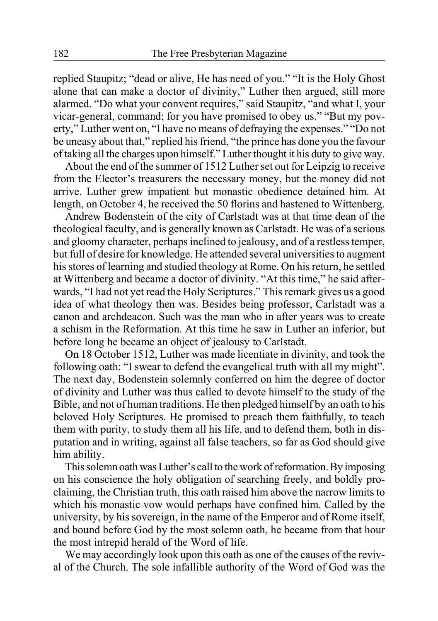replied Staupitz; "dead or alive, He has need of you." "It is the Holy Ghost alone that can make a doctor of divinity," Luther then argued, still more alarmed. "Do what your convent requires," said Staupitz, "and what I, your vicar-general, command; for you have promised to obey us." "But my poverty," Luther went on, "I have no means of defraying the expenses." "Do not be uneasy about that," replied his friend, "the prince has done you the favour of taking all the charges upon himself." Luther thought it his duty to give way.

About the end of the summer of 1512 Luther set out for Leipzig to receive from the Elector's treasurers the necessary money, but the money did not arrive. Luther grew impatient but monastic obedience detained him. At length, on October 4, he received the 50 florins and hastened to Wittenberg.

Andrew Bodenstein of the city of Carlstadt was at that time dean of the theological faculty, and is generally known as Carlstadt. He was of a serious and gloomy character, perhaps inclined to jealousy, and of a restless temper, but full of desire for knowledge. He attended several universities to augment his stores of learning and studied theology at Rome. On his return, he settled at Wittenberg and became a doctor of divinity. "At this time," he said afterwards, "I had not yet read the Holy Scriptures." This remark gives us a good idea of what theology then was. Besides being professor, Carlstadt was a canon and archdeacon. Such was the man who in after years was to create a schism in the Reformation. At this time he saw in Luther an inferior, but before long he became an object of jealousy to Carlstadt.

On 18 October 1512, Luther was made licentiate in divinity, and took the following oath: "I swear to defend the evangelical truth with all my might". The next day, Bodenstein solemnly conferred on him the degree of doctor of divinity and Luther was thus called to devote himself to the study of the Bible, and not of human traditions. He then pledged himself by an oath to his beloved Holy Scriptures. He promised to preach them faithfully, to teach them with purity, to study them all his life, and to defend them, both in disputation and in writing, against all false teachers, so far as God should give him ability.

This solemn oath was Luther's call to the work of reformation. By imposing on his conscience the holy obligation of searching freely, and boldly proclaiming, the Christian truth, this oath raised him above the narrow limits to which his monastic vow would perhaps have confined him. Called by the university, by his sovereign, in the name of the Emperor and of Rome itself, and bound before God by the most solemn oath, he became from that hour the most intrepid herald of the Word of life.

We may accordingly look upon this oath as one of the causes of the revival of the Church. The sole infallible authority of the Word of God was the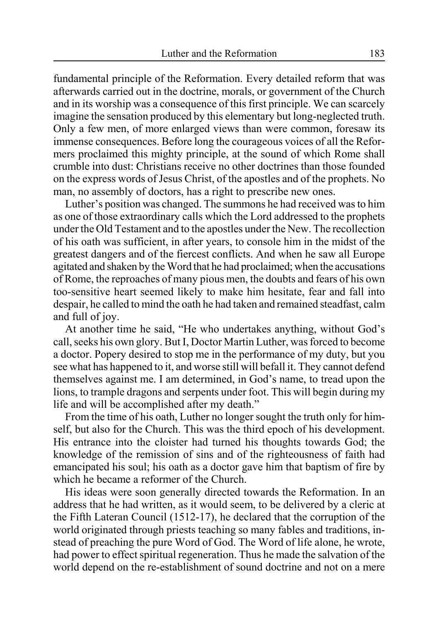fundamental principle of the Reformation. Every detailed reform that was afterwards carried out in the doctrine, morals, or government of the Church and in its worship was a consequence of this first principle. We can scarcely imagine the sensation produced by this elementary but long-neglected truth. Only a few men, of more enlarged views than were common, foresaw its immense consequences. Before long the courageous voices of all the Reformers proclaimed this mighty principle, at the sound of which Rome shall crumble into dust: Christians receive no other doctrines than those founded on the express words of Jesus Christ, of the apostles and of the prophets. No man, no assembly of doctors, has a right to prescribe new ones.

Luther's position was changed. The summons he had received was to him as one of those extraordinary calls which the Lord addressed to the prophets under the Old Testament and to the apostles under the New. The recollection of his oath was sufficient, in after years, to console him in the midst of the greatest dangers and of the fiercest conflicts. And when he saw all Europe agitated and shaken by the Word that he had proclaimed; when the accusations of Rome, the reproaches of many pious men, the doubts and fears of his own too-sensitive heart seemed likely to make him hesitate, fear and fall into despair, he called to mind the oath he had taken and remained steadfast, calm and full of joy.

At another time he said, "He who undertakes anything, without God's call, seeks his own glory. But I, Doctor Martin Luther, was forced to become a doctor. Popery desired to stop me in the performance of my duty, but you see what has happened to it, and worse still will befall it. They cannot defend themselves against me. I am determined, in God's name, to tread upon the lions, to trample dragons and serpents under foot. This will begin during my life and will be accomplished after my death."

From the time of his oath, Luther no longer sought the truth only for himself, but also for the Church. This was the third epoch of his development. His entrance into the cloister had turned his thoughts towards God; the knowledge of the remission of sins and of the righteousness of faith had emancipated his soul; his oath as a doctor gave him that baptism of fire by which he became a reformer of the Church.

His ideas were soon generally directed towards the Reformation. In an address that he had written, as it would seem, to be delivered by a cleric at the Fifth Lateran Council (1512-17), he declared that the corruption of the world originated through priests teaching so many fables and traditions, instead of preaching the pure Word of God. The Word of life alone, he wrote, had power to effect spiritual regeneration. Thus he made the salvation of the world depend on the re-establishment of sound doctrine and not on a mere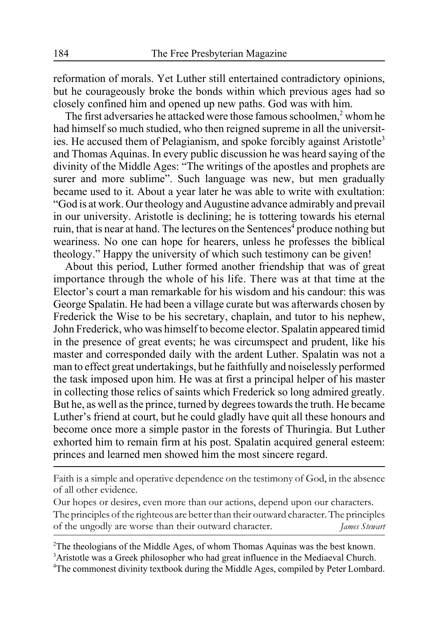reformation of morals. Yet Luther still entertained contradictory opinions, but he courageously broke the bonds within which previous ages had so closely confined him and opened up new paths. God was with him.

The first adversaries he attacked were those famous schoolmen,<sup>2</sup> whom he had himself so much studied, who then reigned supreme in all the universities. He accused them of Pelagianism, and spoke forcibly against Aristotle<sup>3</sup> and Thomas Aquinas. In every public discussion he was heard saying of the divinity of the Middle Ages: "The writings of the apostles and prophets are surer and more sublime". Such language was new, but men gradually became used to it. About a year later he was able to write with exultation: "God is at work. Our theology and Augustine advance admirably and prevail in our university. Aristotle is declining; he is tottering towards his eternal ruin, that is near at hand. The lectures on the Sentences<sup>4</sup> produce nothing but weariness. No one can hope for hearers, unless he professes the biblical theology." Happy the university of which such testimony can be given!

About this period, Luther formed another friendship that was of great importance through the whole of his life. There was at that time at the Elector's court a man remarkable for his wisdom and his candour: this was George Spalatin. He had been a village curate but was afterwards chosen by Frederick the Wise to be his secretary, chaplain, and tutor to his nephew, John Frederick, who was himself to become elector. Spalatin appeared timid in the presence of great events; he was circumspect and prudent, like his master and corresponded daily with the ardent Luther. Spalatin was not a man to effect great undertakings, but he faithfully and noiselessly performed the task imposed upon him. He was at first a principal helper of his master in collecting those relics of saints which Frederick so long admired greatly. But he, as well as the prince, turned by degrees towards the truth. He became Luther's friend at court, but he could gladly have quit all these honours and become once more a simple pastor in the forests of Thuringia. But Luther exhorted him to remain firm at his post. Spalatin acquired general esteem: princes and learned men showed him the most sincere regard.

Faith is a simple and operative dependence on the testimony of God, in the absence of all other evidence.

Our hopes or desires, even more than our actions, depend upon our characters. The principles of the righteous are better than their outward character. The principles of the ungodly are worse than their outward character. *James Stewart*

<sup>2</sup>The theologians of the Middle Ages, of whom Thomas Aquinas was the best known.

<sup>3</sup>Aristotle was a Greek philosopher who had great influence in the Mediaeval Church.

4 The commonest divinity textbook during the Middle Ages, compiled by Peter Lombard.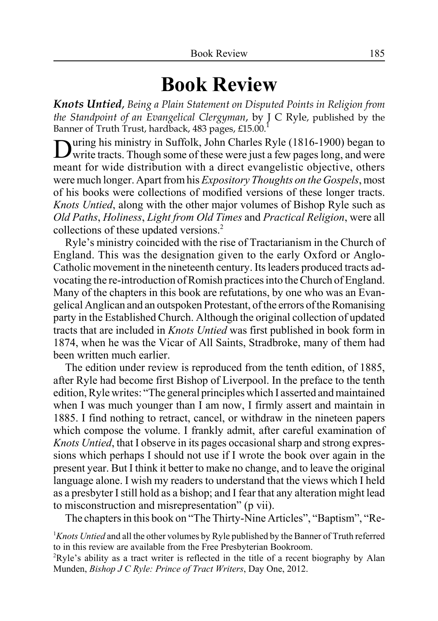# **Book Review**

*Knots Untied*, *Being a Plain Statement on Disputed Points in Religion from the Standpoint of an Evangelical Clergyman*, by J C Ryle, published by the Banner of Truth Trust, hardback, 483 pages, £15.00.

During his ministry in Suffolk, John Charles Ryle (1816-1900) began to write tracts. Though some of these were just a few pages long, and were meant for wide distribution with a direct evangelistic objective, others were much longer. Apart from his *Expository Thoughts on the Gospels*, most of his books were collections of modified versions of these longer tracts. *Knots Untied*, along with the other major volumes of Bishop Ryle such as *Old Paths*, *Holiness*, *Light from Old Times* and *Practical Religion*, were all collections of these updated versions.<sup>2</sup>

Ryle's ministry coincided with the rise of Tractarianism in the Church of England. This was the designation given to the early Oxford or Anglo-Catholic movement in the nineteenth century. Its leaders produced tracts advocating the re-introduction of Romish practices into the Church of England. Many of the chapters in this book are refutations, by one who was an Evangelical Anglican and an outspoken Protestant, of the errors of the Romanising party in the Established Church. Although the original collection of updated tracts that are included in *Knots Untied* was first published in book form in 1874, when he was the Vicar of All Saints, Stradbroke, many of them had been written much earlier.

The edition under review is reproduced from the tenth edition, of 1885, after Ryle had become first Bishop of Liverpool. In the preface to the tenth edition, Ryle writes: "The general principles which I asserted and maintained when I was much younger than I am now, I firmly assert and maintain in 1885. I find nothing to retract, cancel, or withdraw in the nineteen papers which compose the volume. I frankly admit, after careful examination of *Knots Untied*, that I observe in its pages occasional sharp and strong expressions which perhaps I should not use if I wrote the book over again in the present year. But I think it better to make no change, and to leave the original language alone. I wish my readers to understand that the views which I held as a presbyter I still hold as a bishop; and I fear that any alteration might lead to misconstruction and misrepresentation" (p vii).

The chapters in this book on "The Thirty-Nine Articles", "Baptism", "Re-

1 *Knots Untied* and all the other volumes by Ryle published by the Banner of Truth referred to in this review are available from the Free Presbyterian Bookroom.

<sup>2</sup>Ryle's ability as a tract writer is reflected in the title of a recent biography by Alan Munden, *Bishop J C Ryle: Prince of Tract Writers*, Day One, 2012.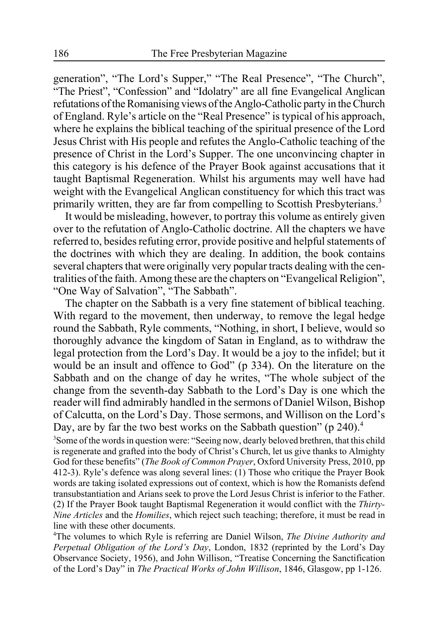generation", "The Lord's Supper," "The Real Presence", "The Church", "The Priest", "Confession" and "Idolatry" are all fine Evangelical Anglican refutations of the Romanising views of the Anglo-Catholic party in the Church of England. Ryle's article on the "Real Presence" is typical of his approach, where he explains the biblical teaching of the spiritual presence of the Lord Jesus Christ with His people and refutes the Anglo-Catholic teaching of the presence of Christ in the Lord's Supper. The one unconvincing chapter in this category is his defence of the Prayer Book against accusations that it taught Baptismal Regeneration. Whilst his arguments may well have had weight with the Evangelical Anglican constituency for which this tract was primarily written, they are far from compelling to Scottish Presbyterians.<sup>3</sup>

It would be misleading, however, to portray this volume as entirely given over to the refutation of Anglo-Catholic doctrine. All the chapters we have referred to, besides refuting error, provide positive and helpful statements of the doctrines with which they are dealing. In addition, the book contains several chapters that were originally very popular tracts dealing with the centralities of the faith. Among these are the chapters on "Evangelical Religion", "One Way of Salvation", "The Sabbath".

The chapter on the Sabbath is a very fine statement of biblical teaching. With regard to the movement, then underway, to remove the legal hedge round the Sabbath, Ryle comments, "Nothing, in short, I believe, would so thoroughly advance the kingdom of Satan in England, as to withdraw the legal protection from the Lord's Day. It would be a joy to the infidel; but it would be an insult and offence to God" (p 334). On the literature on the Sabbath and on the change of day he writes, "The whole subject of the change from the seventh-day Sabbath to the Lord's Day is one which the reader will find admirably handled in the sermons of Daniel Wilson, Bishop of Calcutta, on the Lord's Day. Those sermons, and Willison on the Lord's Day, are by far the two best works on the Sabbath question" (p 240).<sup>4</sup>

<sup>3</sup>Some of the words in question were: "Seeing now, dearly beloved brethren, that this child is regenerate and grafted into the body of Christ's Church, let us give thanks to Almighty God for these benefits" (*The Book of Common Prayer*, Oxford University Press, 2010, pp 412-3). Ryle's defence was along several lines: (1) Those who critique the Prayer Book words are taking isolated expressions out of context, which is how the Romanists defend transubstantiation and Arians seek to prove the Lord Jesus Christ is inferior to the Father. (2) If the Prayer Book taught Baptismal Regeneration it would conflict with the *Thirty-Nine Articles* and the *Homilies*, which reject such teaching; therefore, it must be read in line with these other documents.

4 The volumes to which Ryle is referring are Daniel Wilson, *The Divine Authority and Perpetual Obligation of the Lord's Day*, London, 1832 (reprinted by the Lord's Day Observance Society, 1956), and John Willison, "Treatise Concerning the Sanctification of the Lord's Day" in *The Practical Works of John Willison*, 1846, Glasgow, pp 1-126.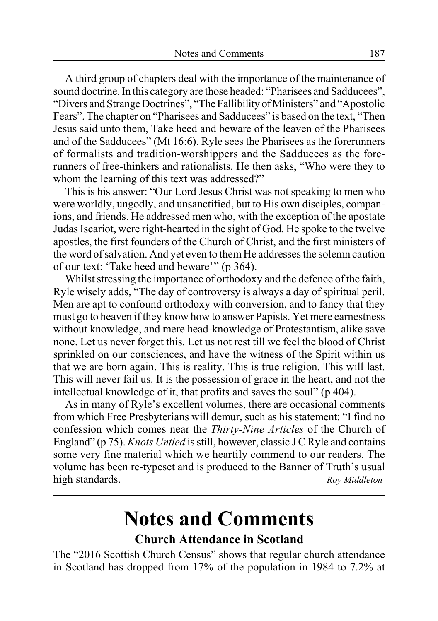A third group of chapters deal with the importance of the maintenance of sound doctrine. In this category are those headed: "Pharisees and Sadducees", "Divers and Strange Doctrines", "The Fallibility of Ministers" and "Apostolic Fears". The chapter on "Pharisees and Sadducees" is based on the text, "Then Jesus said unto them, Take heed and beware of the leaven of the Pharisees and of the Sadducees" (Mt 16:6). Ryle sees the Pharisees as the forerunners of formalists and tradition-worshippers and the Sadducees as the forerunners of free-thinkers and rationalists. He then asks, "Who were they to whom the learning of this text was addressed?"

This is his answer: "Our Lord Jesus Christ was not speaking to men who were worldly, ungodly, and unsanctified, but to His own disciples, companions, and friends. He addressed men who, with the exception of the apostate Judas Iscariot, were right-hearted in the sight of God. He spoke to the twelve apostles, the first founders of the Church of Christ, and the first ministers of the word of salvation. And yet even to them He addresses the solemn caution of our text: 'Take heed and beware'" (p 364).

Whilst stressing the importance of orthodoxy and the defence of the faith, Ryle wisely adds, "The day of controversy is always a day of spiritual peril. Men are apt to confound orthodoxy with conversion, and to fancy that they must go to heaven if they know how to answer Papists. Yet mere earnestness without knowledge, and mere head-knowledge of Protestantism, alike save none. Let us never forget this. Let us not rest till we feel the blood of Christ sprinkled on our consciences, and have the witness of the Spirit within us that we are born again. This is reality. This is true religion. This will last. This will never fail us. It is the possession of grace in the heart, and not the intellectual knowledge of it, that profits and saves the soul" (p 404).

As in many of Ryle's excellent volumes, there are occasional comments from which Free Presbyterians will demur, such as his statement: "I find no confession which comes near the *Thirty-Nine Articles* of the Church of England" (p 75). *Knots Untied* is still, however, classic J C Ryle and contains some very fine material which we heartily commend to our readers. The volume has been re-typeset and is produced to the Banner of Truth's usual high standards. *Roy Middleton* 

# **Notes and Comments**

### **Church Attendance in Scotland**

The "2016 Scottish Church Census" shows that regular church attendance in Scotland has dropped from 17% of the population in 1984 to 7.2% at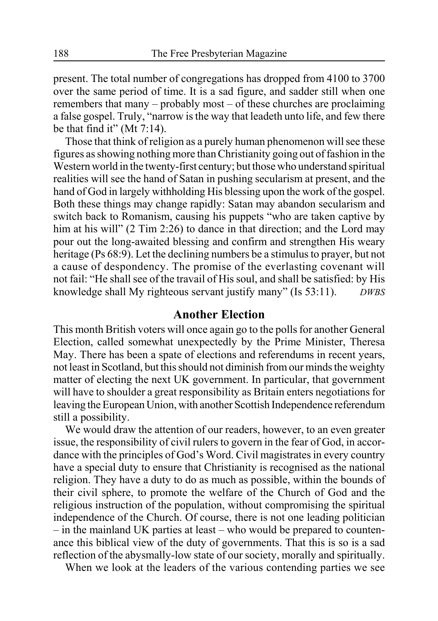present. The total number of congregations has dropped from 4100 to 3700 over the same period of time. It is a sad figure, and sadder still when one remembers that many – probably most – of these churches are proclaiming a false gospel. Truly, "narrow is the way that leadeth unto life, and few there be that find it" (Mt  $7:14$ ).

Those that think of religion as a purely human phenomenon will see these figures as showing nothing more than Christianity going out of fashion in the Western world in the twenty-first century; but those who understand spiritual realities will see the hand of Satan in pushing secularism at present, and the hand of God in largely withholding His blessing upon the work of the gospel. Both these things may change rapidly: Satan may abandon secularism and switch back to Romanism, causing his puppets "who are taken captive by him at his will" (2 Tim 2:26) to dance in that direction; and the Lord may pour out the long-awaited blessing and confirm and strengthen His weary heritage (Ps 68:9). Let the declining numbers be a stimulus to prayer, but not a cause of despondency. The promise of the everlasting covenant will not fail: "He shall see of the travail of His soul, and shall be satisfied: by His knowledge shall My righteous servant justify many" (Is 53:11). *DWBS*

### **Another Election**

This month British voters will once again go to the polls for another General Election, called somewhat unexpectedly by the Prime Minister, Theresa May. There has been a spate of elections and referendums in recent years, not least in Scotland, but this should not diminish from our minds the weighty matter of electing the next UK government. In particular, that government will have to shoulder a great responsibility as Britain enters negotiations for leaving the European Union, with another Scottish Independence referendum still a possibility.

We would draw the attention of our readers, however, to an even greater issue, the responsibility of civil rulers to govern in the fear of God, in accordance with the principles of God's Word. Civil magistrates in every country have a special duty to ensure that Christianity is recognised as the national religion. They have a duty to do as much as possible, within the bounds of their civil sphere, to promote the welfare of the Church of God and the religious instruction of the population, without compromising the spiritual independence of the Church. Of course, there is not one leading politician – in the mainland UK parties at least – who would be prepared to countenance this biblical view of the duty of governments. That this is so is a sad reflection of the abysmally-low state of our society, morally and spiritually.

When we look at the leaders of the various contending parties we see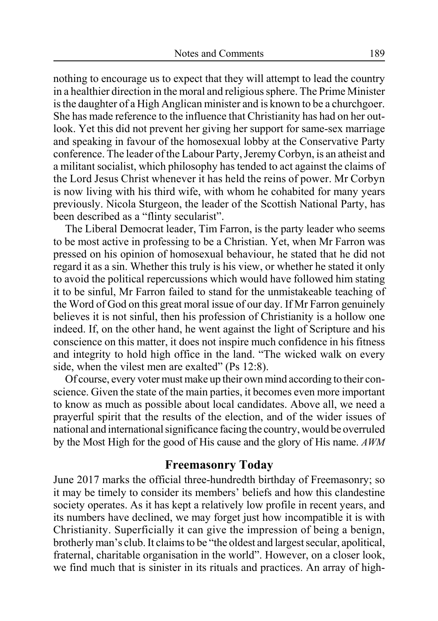nothing to encourage us to expect that they will attempt to lead the country in a healthier direction in the moral and religious sphere. The Prime Minister is the daughter of a High Anglican minister and is known to be a churchgoer. She has made reference to the influence that Christianity has had on her outlook. Yet this did not prevent her giving her support for same-sex marriage and speaking in favour of the homosexual lobby at the Conservative Party conference. The leader of the Labour Party, Jeremy Corbyn, is an atheist and a militant socialist, which philosophy has tended to act against the claims of the Lord Jesus Christ whenever it has held the reins of power. Mr Corbyn is now living with his third wife, with whom he cohabited for many years previously. Nicola Sturgeon, the leader of the Scottish National Party, has been described as a "flinty secularist".

The Liberal Democrat leader, Tim Farron, is the party leader who seems to be most active in professing to be a Christian. Yet, when Mr Farron was pressed on his opinion of homosexual behaviour, he stated that he did not regard it as a sin. Whether this truly is his view, or whether he stated it only to avoid the political repercussions which would have followed him stating it to be sinful, Mr Farron failed to stand for the unmistakeable teaching of the Word of God on this great moral issue of our day. If Mr Farron genuinely believes it is not sinful, then his profession of Christianity is a hollow one indeed. If, on the other hand, he went against the light of Scripture and his conscience on this matter, it does not inspire much confidence in his fitness and integrity to hold high office in the land. "The wicked walk on every side, when the vilest men are exalted" (Ps 12:8).

Of course, every voter must make up their own mind according to their conscience. Given the state of the main parties, it becomes even more important to know as much as possible about local candidates. Above all, we need a prayerful spirit that the results of the election, and of the wider issues of national and international significance facing the country, would be overruled by the Most High for the good of His cause and the glory of His name. *AWM*

### **Freemasonry Today**

June 2017 marks the official three-hundredth birthday of Freemasonry; so it may be timely to consider its members' beliefs and how this clandestine society operates. As it has kept a relatively low profile in recent years, and its numbers have declined, we may forget just how incompatible it is with Christianity. Superficially it can give the impression of being a benign, brotherly man's club. It claims to be "the oldest and largest secular, apolitical, fraternal, charitable organisation in the world". However, on a closer look, we find much that is sinister in its rituals and practices. An array of high-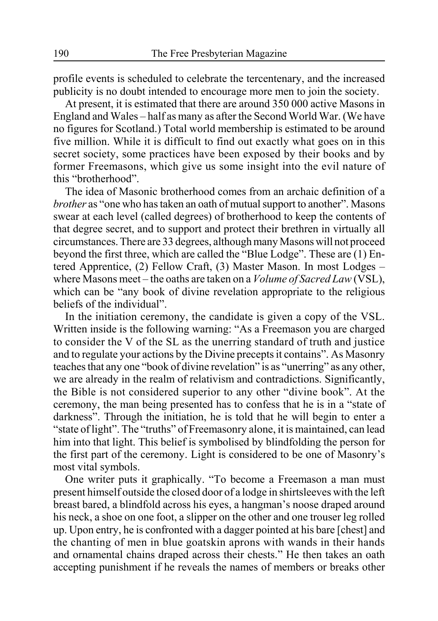profile events is scheduled to celebrate the tercentenary, and the increased publicity is no doubt intended to encourage more men to join the society.

At present, it is estimated that there are around 350 000 active Masons in England and Wales – half as many as after the Second World War. (We have no figures for Scotland.) Total world membership is estimated to be around five million. While it is difficult to find out exactly what goes on in this secret society, some practices have been exposed by their books and by former Freemasons, which give us some insight into the evil nature of this "brotherhood".

The idea of Masonic brotherhood comes from an archaic definition of a *brother* as "one who has taken an oath of mutual support to another". Masons swear at each level (called degrees) of brotherhood to keep the contents of that degree secret, and to support and protect their brethren in virtually all circumstances. There are 33 degrees, although many Masons will not proceed beyond the first three, which are called the "Blue Lodge". These are (1) Entered Apprentice, (2) Fellow Craft, (3) Master Mason. In most Lodges – where Masons meet – the oaths are taken on a *Volume of Sacred Law* (VSL), which can be "any book of divine revelation appropriate to the religious beliefs of the individual".

In the initiation ceremony, the candidate is given a copy of the VSL. Written inside is the following warning: "As a Freemason you are charged to consider the V of the SL as the unerring standard of truth and justice and to regulate your actions by the Divine precepts it contains". As Masonry teaches that any one "book of divine revelation" is as "unerring" as any other, we are already in the realm of relativism and contradictions. Significantly, the Bible is not considered superior to any other "divine book". At the ceremony, the man being presented has to confess that he is in a "state of darkness". Through the initiation, he is told that he will begin to enter a "state of light". The "truths" of Freemasonry alone, it is maintained, can lead him into that light. This belief is symbolised by blindfolding the person for the first part of the ceremony. Light is considered to be one of Masonry's most vital symbols.

One writer puts it graphically. "To become a Freemason a man must present himself outside the closed door of a lodge in shirtsleeves with the left breast bared, a blindfold across his eyes, a hangman's noose draped around his neck, a shoe on one foot, a slipper on the other and one trouser leg rolled up. Upon entry, he is confronted with a dagger pointed at his bare [chest] and the chanting of men in blue goatskin aprons with wands in their hands and ornamental chains draped across their chests." He then takes an oath accepting punishment if he reveals the names of members or breaks other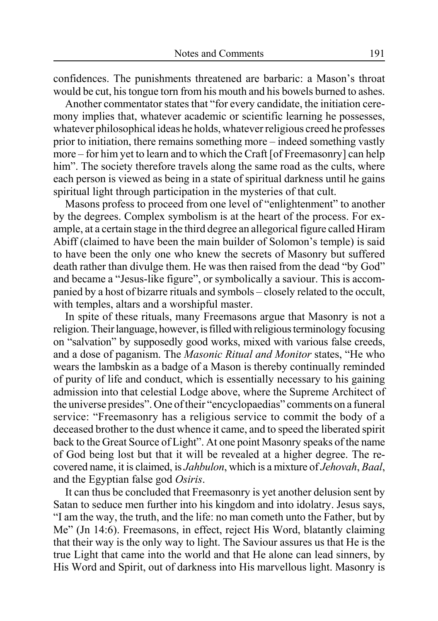confidences. The punishments threatened are barbaric: a Mason's throat would be cut, his tongue torn from his mouth and his bowels burned to ashes.

Another commentator states that "for every candidate, the initiation ceremony implies that, whatever academic or scientific learning he possesses, whatever philosophical ideas he holds, whatever religious creed he professes prior to initiation, there remains something more – indeed something vastly more – for him yet to learn and to which the Craft [of Freemasonry] can help him". The society therefore travels along the same road as the cults, where each person is viewed as being in a state of spiritual darkness until he gains spiritual light through participation in the mysteries of that cult.

Masons profess to proceed from one level of "enlightenment" to another by the degrees. Complex symbolism is at the heart of the process. For example, at a certain stage in the third degree an allegorical figure called Hiram Abiff (claimed to have been the main builder of Solomon's temple) is said to have been the only one who knew the secrets of Masonry but suffered death rather than divulge them. He was then raised from the dead "by God" and became a "Jesus-like figure", or symbolically a saviour. This is accompanied by a host of bizarre rituals and symbols – closely related to the occult, with temples, altars and a worshipful master.

In spite of these rituals, many Freemasons argue that Masonry is not a religion. Their language, however, is filled with religious terminology focusing on "salvation" by supposedly good works, mixed with various false creeds, and a dose of paganism. The *Masonic Ritual and Monitor* states, "He who wears the lambskin as a badge of a Mason is thereby continually reminded of purity of life and conduct, which is essentially necessary to his gaining admission into that celestial Lodge above, where the Supreme Architect of the universe presides". One of their "encyclopaedias" comments on a funeral service: "Freemasonry has a religious service to commit the body of a deceased brother to the dust whence it came, and to speed the liberated spirit back to the Great Source of Light". At one point Masonry speaks of the name of God being lost but that it will be revealed at a higher degree. The recovered name, it is claimed, is *Jahbulon*, which is a mixture of *Jehovah*, *Baal*, and the Egyptian false god *Osiris*.

It can thus be concluded that Freemasonry is yet another delusion sent by Satan to seduce men further into his kingdom and into idolatry. Jesus says, "I am the way, the truth, and the life: no man cometh unto the Father, but by Me" (Jn 14:6). Freemasons, in effect, reject His Word, blatantly claiming that their way is the only way to light. The Saviour assures us that He is the true Light that came into the world and that He alone can lead sinners, by His Word and Spirit, out of darkness into His marvellous light. Masonry is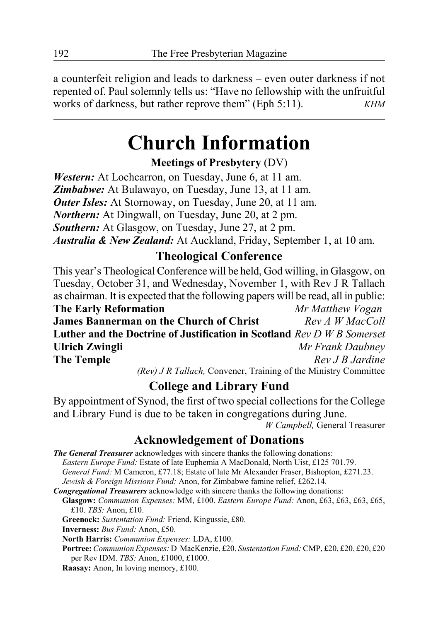a counterfeit religion and leads to darkness – even outer darkness if not repented of. Paul solemnly tells us: "Have no fellowship with the unfruitful works of darkness, but rather reprove them" (Eph 5:11). *KHM*

# **Church Information**

**Meetings of Presbytery** (DV)

*Western:* At Lochcarron, on Tuesday, June 6, at 11 am. *Zimbabwe:* At Bulawayo, on Tuesday, June 13, at 11 am. *Outer Isles:* At Stornoway, on Tuesday, June 20, at 11 am. *Northern:* At Dingwall, on Tuesday, June 20, at 2 pm. *Southern:* At Glasgow, on Tuesday, June 27, at 2 pm. *Australia & New Zealand:* At Auckland, Friday, September 1, at 10 am.

### **Theological Conference**

This year's Theological Conference will be held, God willing, in Glasgow, on Tuesday, October 31, and Wednesday, November 1, with Rev J R Tallach as chairman. It is expected that the following papers will be read, all in public: **The Early Reformation** *Mr Matthew Vogan*  **James Bannerman on the Church of Christ** *Rev A W MacColl* **Luther and the Doctrine of Justification in Scotland** *Rev D W B Somerset* **Ulrich Zwingli** *Mr Frank Daubney* **The Temple** *Rev J B Jardine (Rev) J R Tallach,* Convener, Training of the Ministry Committee

### **College and Library Fund**

By appointment of Synod, the first of two special collections for the College and Library Fund is due to be taken in congregations during June. *W Campbell,* General Treasurer

### **Acknowledgement of Donations**

*The General Treasurer* acknowledges with sincere thanks the following donations: *Eastern Europe Fund:* Estate of late Euphemia A MacDonald, North Uist, £125 701.79. *General Fund:* M Cameron, £77.18; Estate of late Mr Alexander Fraser, Bishopton, £271.23. *Jewish & Foreign Missions Fund:* Anon, for Zimbabwe famine relief, £262.14*. Congregational Treasurers* acknowledge with sincere thanks the following donations: **Glasgow:** *Communion Expenses:* MM, £100. *Eastern Europe Fund:* Anon, £63, £63, £63, £65, £10. *TBS:* Anon, £10. **Greenock:** *Sustentation Fund:* Friend, Kingussie, £80. **Inverness:** *Bus Fund:* Anon, £50. **North Harris:** *Communion Expenses:* LDA, £100. **Portree:** *Communion Expenses:* D MacKenzie, £20. *Sustentation Fund:* CMP, £20, £20, £20, £20

per Rev IDM. *TBS:* Anon, £1000, £1000.

**Raasay:** Anon, In loving memory, £100.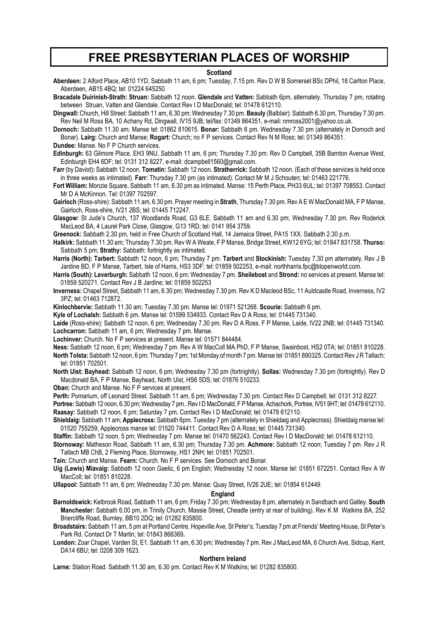### **FREE PRESBYTERIAN PLACES OF WORSHIP**

#### **Scotland**

**Aberdeen:** 2 Alford Place, AB10 1YD, Sabbath 11 am, 6 pm; Tuesday, 7.15 pm. Rev D W B Somerset BSc DPhil, 18 Carlton Place, Aberdeen, AB15 4BQ; tel: 01224 645250.

**Bracadale Duirinish-Strath: Struan:** Sabbath 12 noon. **Glendale** and **Vatten:** Sabbath 6pm, alternately. Thursday 7 pm, rotating between Struan, Vatten and Glendale. Contact Rev I D MacDonald; tel: 01478 612110.

**Dingwall:** Church, Hill Street: Sabbath 11 am, 6.30 pm; Wednesday 7.30 pm. **Beauly** (Balblair): Sabbath 6.30 pm, Thursday 7.30 pm. Rev Neil M Ross BA, 10 Achany Rd, Dingwall, IV15 9JB; tel/fax: 01349 864351, e-mail: nmross2001@yahoo.co.uk.

**Dornoch:** Sabbath 11.30 am. Manse tel: 01862 810615. **Bonar:** Sabbath 6 pm. Wednesday 7.30 pm (alternately in Dornoch and Bonar). **Lairg:** Church and Manse; **Rogart:** Church; no F P services. Contact Rev N M Ross; tel: 01349 864351.

**Dundee:** Manse. No F P Church services.

**Edinburgh:** 63 Gilmore Place, EH3 9NU, Sabbath 11 am, 6 pm; Thursday 7.30 pm. Rev D Campbell, 35B Barnton Avenue West Edinburgh EH4 6DF; tel: 0131 312 8227, e-mail: dcampbell1560@gmail.com.

- **Farr** (by Daviot)**:** Sabbath 12 noon. **Tomatin:** Sabbath 12 noon. **Stratherrick:** Sabbath 12 noon. (Each of these services is held once in three weeks as intimated). **Farr:** Thursday 7.30 pm (as intimated). Contact Mr M J Schouten; tel: 01463 221776.
- **Fort William:** Monzie Square, Sabbath 11 am, 6.30 pm as intimated. Manse: 15 Perth Place, PH33 6UL; tel: 01397 708553. Contact Mr D A McKinnon. Tel: 01397 702597.
- **Gairloch** (Ross-shire): Sabbath 11 am, 6.30 pm. Prayer meeting in **Strath**, Thursday 7.30 pm. Rev A E W MacDonald MA, F P Manse, Gairloch, Ross-shire, IV21 2BS; tel: 01445 712247.
- **Glasgow:** St Jude's Church, 137 Woodlands Road, G3 6LE. Sabbath 11 am and 6.30 pm; Wednesday 7.30 pm. Rev Roderick MacLeod BA, 4 Laurel Park Close, Glasgow, G13 1RD; tel: 0141 954 3759.
- **Greenock:** Sabbath 2.30 pm, held in Free Church of Scotland Hall, 14 Jamaica Street, PA15 1XX. Sabbath 2.30 p.m.
- **Halkirk:** Sabbath 11.30 am; Thursday 7.30 pm. Rev W A Weale, F P Manse, Bridge Street, KW12 6YG; tel: 01847 831758. **Thurso:** Sabbath 5 pm; **Strathy:** Sabbath: fortnightly as intimated.
- **Harris (North): Tarbert:** Sabbath 12 noon, 6 pm; Thursday 7 pm. **Tarbert** and **Stockinish:** Tuesday 7.30 pm alternately. Rev J B Jardine BD, F P Manse, Tarbert, Isle of Harris, HS3 3DF; tel: 01859 502253, e-mail: northharris.fpc@btopenworld.com.
- **Harris (South): Leverburgh:** Sabbath 12 noon, 6 pm; Wednesday 7 pm. **Sheilebost** and **Strond:** no services at present. Manse tel: 01859 520271. Contact Rev J B Jardine; tel: 01859 502253
- **Inverness:** Chapel Street, Sabbath 11 am, 6.30 pm; Wednesday 7.30 pm. Rev K D Macleod BSc, 11 Auldcastle Road, Inverness, IV2 3PZ; tel: 01463 712872.
- **Kinlochbervie:** Sabbath 11.30 am; Tuesday 7.30 pm. Manse tel: 01971 521268. **Scourie:** Sabbath 6 pm.
- **Kyle of Lochalsh:** Sabbath 6 pm. Manse tel: 01599 534933. Contact Rev D A Ross; tel: 01445 731340.

**Laide** (Ross-shire): Sabbath 12 noon, 6 pm; Wednesday 7.30 pm. Rev D A Ross. F P Manse, Laide, IV22 2NB; tel: 01445 731340. **Lochcarron:** Sabbath 11 am, 6 pm; Wednesday 7 pm. Manse.

- **Lochinver:** Church. No F P services at present. Manse tel: 01571 844484.
- **Ness:** Sabbath 12 noon, 6 pm; Wednesday 7 pm. Rev A W MacColl MA PhD, F P Manse, Swainbost, HS2 0TA; tel: 01851 810228. **North Tolsta:** Sabbath 12 noon, 6 pm; Thursday 7 pm; 1st Monday of month 7 pm. Manse tel: 01851 890325. Contact Rev J R Tallach; tel: 01851 702501.
- **North Uist: Bayhead:** Sabbath 12 noon, 6 pm; Wednesday 7.30 pm (fortnightly). **Sollas:** Wednesday 7.30 pm (fortnightly). Rev D Macdonald BA, F P Manse, Bayhead, North Uist, HS6 5DS; tel: 01876 510233.

**Oban:** Church and Manse. No F P services at present.

**Perth:** Pomarium, off Leonard Street. Sabbath 11 am, 6 pm; Wednesday 7.30 pm. Contact Rev D Campbell; tel: 0131 312 8227.

**Portree:** Sabbath 12 noon, 6.30 pm; Wednesday 7 pm.. Rev I D MacDonald, F P Manse, Achachork, Portree, IV51 9HT; tel: 01478 612110. **Raasay:** Sabbath 12 noon, 6 pm; Saturday 7 pm. Contact Rev I D MacDonald; tel: 01478 612110.

**Shieldaig:** Sabbath 11 am; **Applecross:** Sabbath 6pm. Tuesday 7 pm (alternately in Shieldaig and Applecross). Shieldaig manse tel: 01520 755259, Applecross manse tel: 01520 744411. Contact Rev D A Ross; tel: 01445 731340.

**Staffin:** Sabbath 12 noon, 5 pm; Wednesday 7 pm. Manse tel: 01470 562243. Contact Rev I D MacDonald; tel: 01478 612110.

**Stornoway:** Matheson Road, Sabbath 11 am, 6.30 pm; Thursday 7.30 pm. **Achmore:** Sabbath 12 noon; Tuesday 7 pm. Rev J R Tallach MB ChB, 2 Fleming Place, Stornoway, HS1 2NH; tel: 01851 702501.

**Tain:** Church and Manse. **Fearn:** Church. No F P services. See Dornoch and Bonar.

**Uig (Lewis) Miavaig:** Sabbath 12 noon Gaelic, 6 pm English; Wednesday 12 noon. Manse tel: 01851 672251. Contact Rev A W MacColl; tel: 01851 810228.

**Ullapool:** Sabbath 11 am, 6 pm; Wednesday 7.30 pm. Manse: Quay Street, IV26 2UE; tel: 01854 612449.

#### **England**

**Barnoldswick:** Kelbrook Road, Sabbath 11 am, 6 pm; Friday 7.30 pm; Wednesday 8 pm, alternately in Sandbach and Gatley. **South Manchester:** Sabbath 6.00 pm, in Trinity Church, Massie Street, Cheadle (entry at rear of building). Rev K M Watkins BA, 252 Briercliffe Road, Burnley, BB10 2DQ; tel: 01282 835800.

**Broadstairs:** Sabbath 11 am, 5 pm at Portland Centre, Hopeville Ave, St Peter's; Tuesday 7 pm at Friends' Meeting House, St Peter's Park Rd. Contact Dr T Martin; tel: 01843 866369**.**

**London:** Zoar Chapel, Varden St, E1. Sabbath 11 am, 6.30 pm; Wednesday 7 pm. Rev J MacLeod MA, 6 Church Ave, Sidcup, Kent, DA14 6BU; tel: 0208 309 1623.

#### **Northern Ireland**

**Larne:** Station Road. Sabbath 11.30 am, 6.30 pm. Contact Rev K M Watkins; tel: 01282 835800.